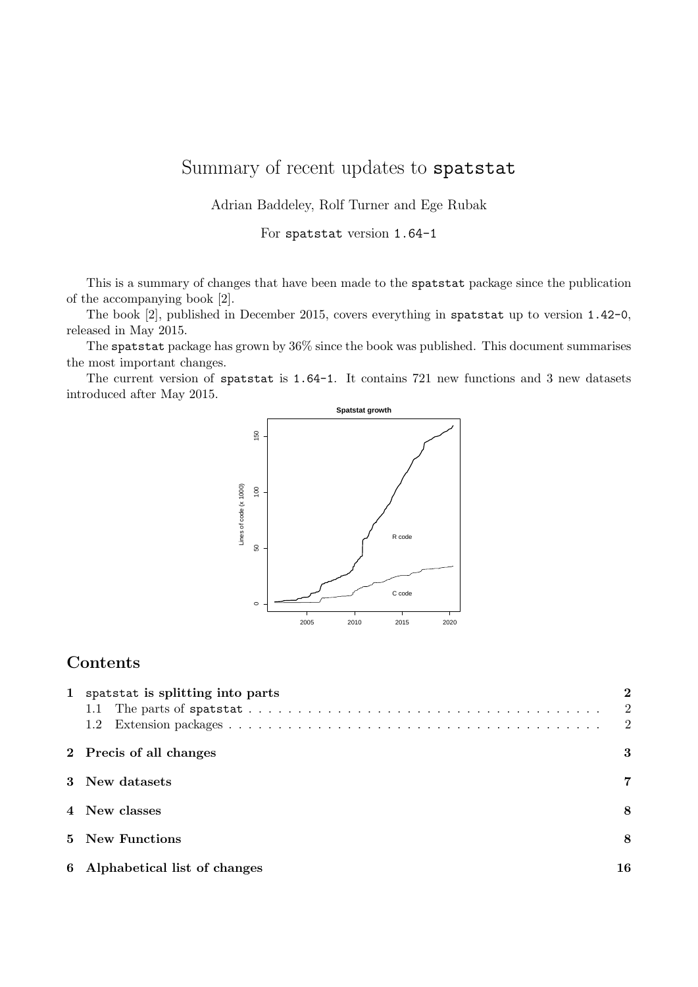# Summary of recent updates to spatstat

Adrian Baddeley, Rolf Turner and Ege Rubak

For spatstat version 1.64-1

This is a summary of changes that have been made to the spatstat package since the publication of the accompanying book [2].

The book [2], published in December 2015, covers everything in spatstat up to version 1.42-0, released in May 2015.

The spatstat package has grown by 36% since the book was published. This document summarises the most important changes.

The current version of spatstat is 1.64-1. It contains 721 new functions and 3 new datasets introduced after May 2015.



### Contents

| spatstat is splitting into parts |                            |
|----------------------------------|----------------------------|
|                                  | $\overline{\phantom{a}}^2$ |
| 1.2                              | -2                         |
| 2 Precis of all changes          | 3                          |
| 3 New datasets                   | 7                          |
| 4 New classes                    | 8                          |
| 5 New Functions                  | 8                          |
| 6 Alphabetical list of changes   | 16                         |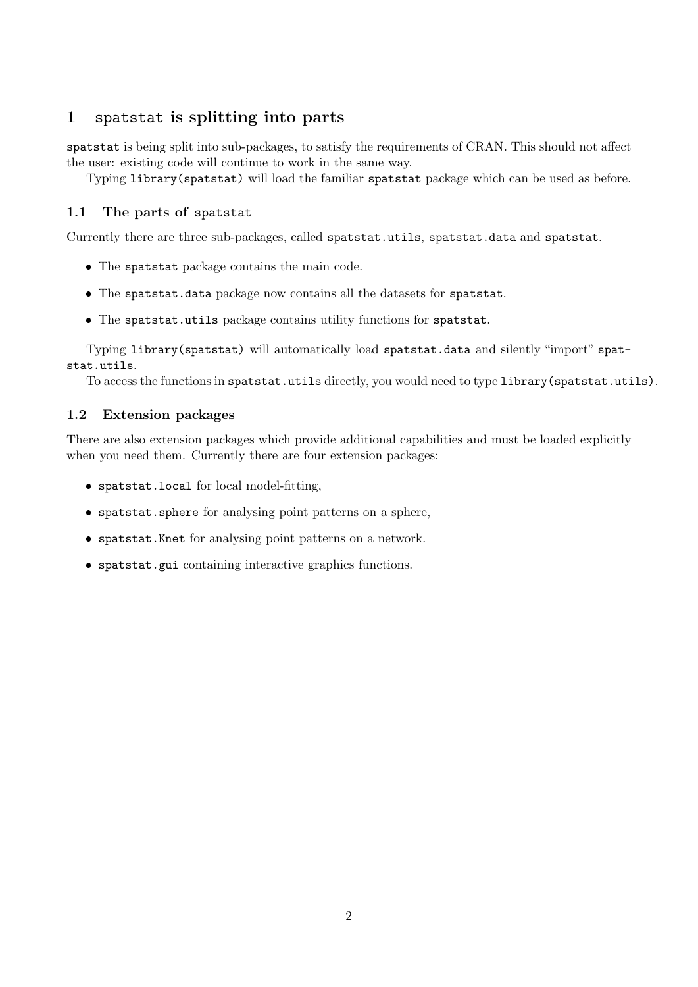# 1 spatstat is splitting into parts

spatstat is being split into sub-packages, to satisfy the requirements of CRAN. This should not affect the user: existing code will continue to work in the same way.

Typing library(spatstat) will load the familiar spatstat package which can be used as before.

#### 1.1 The parts of spatstat

Currently there are three sub-packages, called spatstat.utils, spatstat.data and spatstat.

- The spatstat package contains the main code.
- The spatstat.data package now contains all the datasets for spatstat.
- The spatstat.utils package contains utility functions for spatstat.

Typing library(spatstat) will automatically load spatstat.data and silently "import" spatstat.utils.

To access the functions in spatstat.utils directly, you would need to type library(spatstat.utils).

#### 1.2 Extension packages

There are also extension packages which provide additional capabilities and must be loaded explicitly when you need them. Currently there are four extension packages:

- spatstat.local for local model-fitting,
- spatstat.sphere for analysing point patterns on a sphere,
- spatstat.Knet for analysing point patterns on a network.
- spatstat.gui containing interactive graphics functions.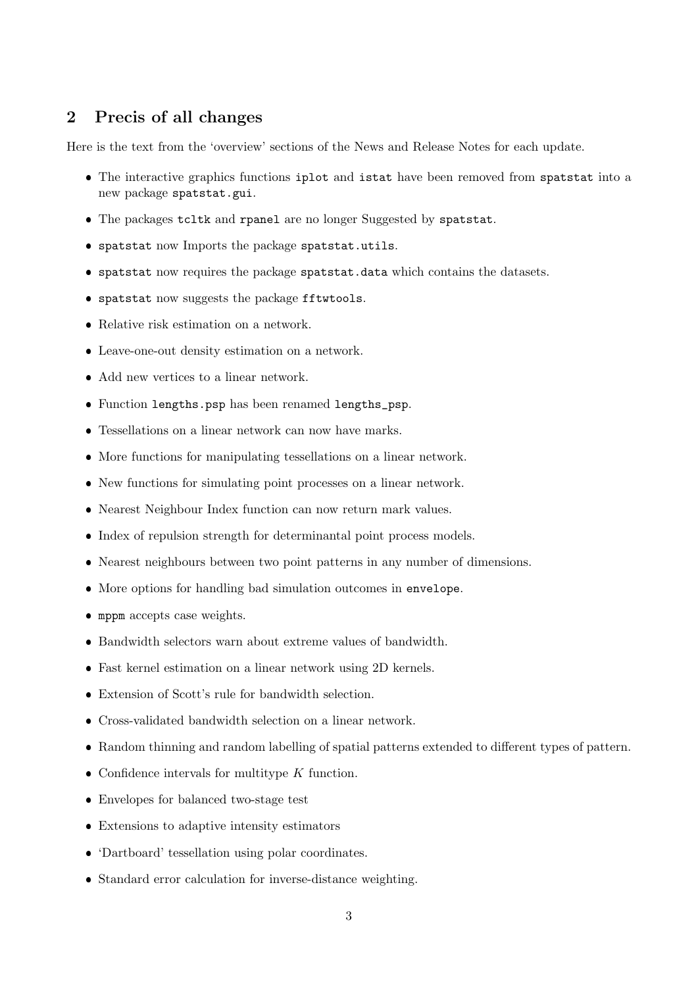#### 2 Precis of all changes

Here is the text from the 'overview' sections of the News and Release Notes for each update.

- The interactive graphics functions iplot and istat have been removed from spatstat into a new package spatstat.gui.
- The packages tcltk and rpanel are no longer Suggested by spatstat.
- spatstat now Imports the package spatstat.utils.
- spatstat now requires the package spatstat.data which contains the datasets.
- spatstat now suggests the package fftwtools.
- Relative risk estimation on a network.
- Leave-one-out density estimation on a network.
- Add new vertices to a linear network.
- Function lengths.psp has been renamed lengths\_psp.
- Tessellations on a linear network can now have marks.
- More functions for manipulating tessellations on a linear network.
- New functions for simulating point processes on a linear network.
- Nearest Neighbour Index function can now return mark values.
- $\bullet$  Index of repulsion strength for determinantal point process models.
- Nearest neighbours between two point patterns in any number of dimensions.
- More options for handling bad simulation outcomes in envelope.
- mppm accepts case weights.
- Bandwidth selectors warn about extreme values of bandwidth.
- Fast kernel estimation on a linear network using 2D kernels.
- Extension of Scott's rule for bandwidth selection.
- Cross-validated bandwidth selection on a linear network.
- Random thinning and random labelling of spatial patterns extended to different types of pattern.
- Confidence intervals for multitype  $K$  function.
- Envelopes for balanced two-stage test
- Extensions to adaptive intensity estimators
- 'Dartboard' tessellation using polar coordinates.
- Standard error calculation for inverse-distance weighting.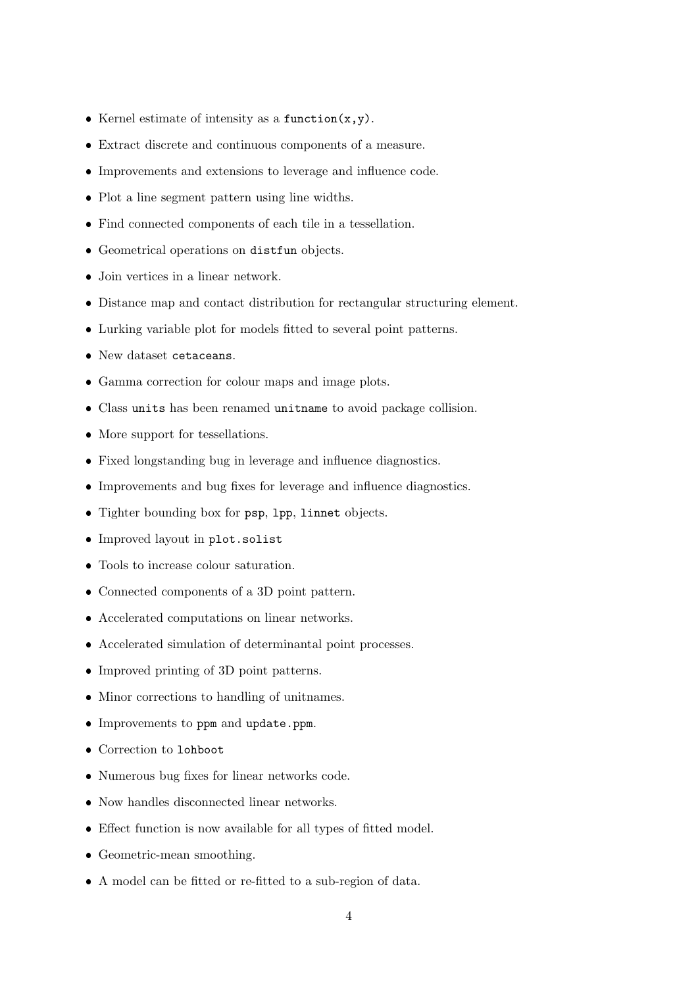- Kernel estimate of intensity as a function $(x,y)$ .
- Extract discrete and continuous components of a measure.
- Improvements and extensions to leverage and influence code.
- Plot a line segment pattern using line widths.
- Find connected components of each tile in a tessellation.
- Geometrical operations on distfun objects.
- Join vertices in a linear network.
- Distance map and contact distribution for rectangular structuring element.
- Lurking variable plot for models fitted to several point patterns.
- New dataset cetaceans.
- Gamma correction for colour maps and image plots.
- Class units has been renamed unitname to avoid package collision.
- More support for tessellations.
- Fixed longstanding bug in leverage and influence diagnostics.
- Improvements and bug fixes for leverage and influence diagnostics.
- Tighter bounding box for psp, lpp, linnet objects.
- Improved layout in plot.solist
- Tools to increase colour saturation.
- Connected components of a 3D point pattern.
- Accelerated computations on linear networks.
- Accelerated simulation of determinantal point processes.
- Improved printing of 3D point patterns.
- Minor corrections to handling of unitnames.
- Improvements to ppm and update.ppm.
- Correction to lohboot
- Numerous bug fixes for linear networks code.
- Now handles disconnected linear networks.
- Effect function is now available for all types of fitted model.
- Geometric-mean smoothing.
- A model can be fitted or re-fitted to a sub-region of data.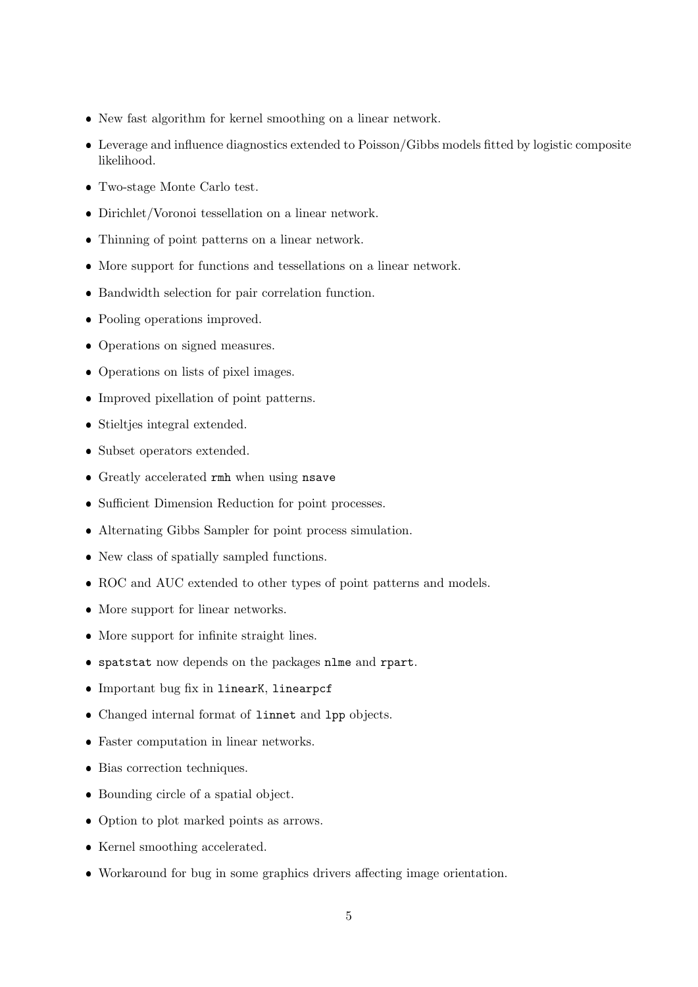- New fast algorithm for kernel smoothing on a linear network.
- Leverage and influence diagnostics extended to Poisson/Gibbs models fitted by logistic composite likelihood.
- Two-stage Monte Carlo test.
- Dirichlet/Voronoi tessellation on a linear network.
- Thinning of point patterns on a linear network.
- More support for functions and tessellations on a linear network.
- Bandwidth selection for pair correlation function.
- Pooling operations improved.
- Operations on signed measures.
- Operations on lists of pixel images.
- Improved pixellation of point patterns.
- Stieltjes integral extended.
- Subset operators extended.
- Greatly accelerated rmh when using nsave
- Sufficient Dimension Reduction for point processes.
- Alternating Gibbs Sampler for point process simulation.
- New class of spatially sampled functions.
- ROC and AUC extended to other types of point patterns and models.
- More support for linear networks.
- More support for infinite straight lines.
- spatstat now depends on the packages nlme and rpart.
- Important bug fix in linearK, linearpcf
- Changed internal format of linnet and lpp objects.
- Faster computation in linear networks.
- Bias correction techniques.
- Bounding circle of a spatial object.
- Option to plot marked points as arrows.
- Kernel smoothing accelerated.
- Workaround for bug in some graphics drivers affecting image orientation.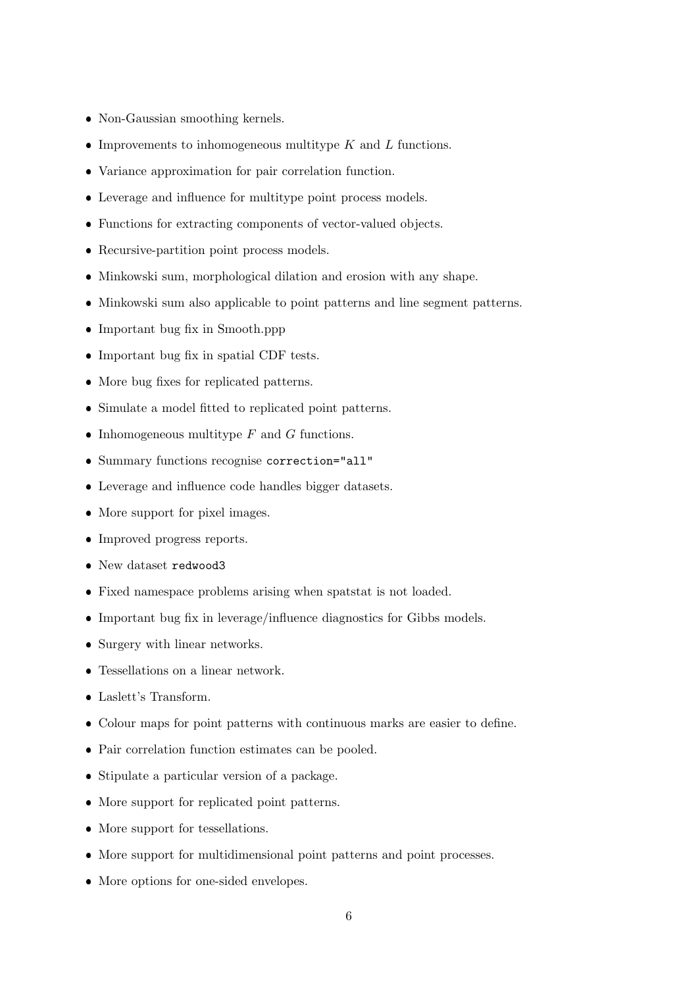- Non-Gaussian smoothing kernels.
- Improvements to inhomogeneous multitype  $K$  and  $L$  functions.
- Variance approximation for pair correlation function.
- Leverage and influence for multitype point process models.
- Functions for extracting components of vector-valued objects.
- Recursive-partition point process models.
- Minkowski sum, morphological dilation and erosion with any shape.
- Minkowski sum also applicable to point patterns and line segment patterns.
- Important bug fix in Smooth.ppp
- Important bug fix in spatial CDF tests.
- More bug fixes for replicated patterns.
- Simulate a model fitted to replicated point patterns.
- Inhomogeneous multitype  $F$  and  $G$  functions.
- Summary functions recognise correction="all"
- Leverage and influence code handles bigger datasets.
- More support for pixel images.
- Improved progress reports.
- New dataset redwood3
- Fixed namespace problems arising when spatstat is not loaded.
- Important bug fix in leverage/influence diagnostics for Gibbs models.
- Surgery with linear networks.
- Tessellations on a linear network.
- Laslett's Transform.
- Colour maps for point patterns with continuous marks are easier to define.
- Pair correlation function estimates can be pooled.
- Stipulate a particular version of a package.
- More support for replicated point patterns.
- More support for tessellations.
- More support for multidimensional point patterns and point processes.
- More options for one-sided envelopes.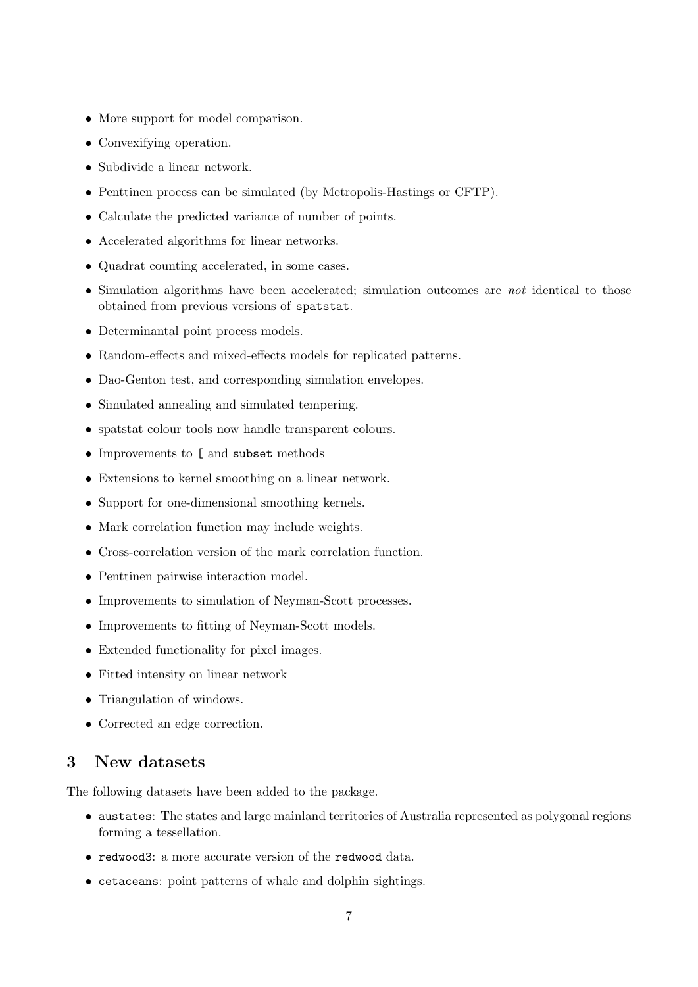- More support for model comparison.
- Convexifying operation.
- Subdivide a linear network.
- Penttinen process can be simulated (by Metropolis-Hastings or CFTP).
- Calculate the predicted variance of number of points.
- Accelerated algorithms for linear networks.
- Quadrat counting accelerated, in some cases.
- $\bullet$  Simulation algorithms have been accelerated; simulation outcomes are *not* identical to those obtained from previous versions of spatstat.
- Determinantal point process models.
- Random-effects and mixed-effects models for replicated patterns.
- Dao-Genton test, and corresponding simulation envelopes.
- Simulated annealing and simulated tempering.
- spatstat colour tools now handle transparent colours.
- Improvements to [ and subset methods
- Extensions to kernel smoothing on a linear network.
- Support for one-dimensional smoothing kernels.
- Mark correlation function may include weights.
- Cross-correlation version of the mark correlation function.
- Penttinen pairwise interaction model.
- Improvements to simulation of Neyman-Scott processes.
- Improvements to fitting of Neyman-Scott models.
- Extended functionality for pixel images.
- Fitted intensity on linear network
- Triangulation of windows.
- Corrected an edge correction.

#### 3 New datasets

The following datasets have been added to the package.

- austates: The states and large mainland territories of Australia represented as polygonal regions forming a tessellation.
- redwood3: a more accurate version of the redwood data.
- cetaceans: point patterns of whale and dolphin sightings.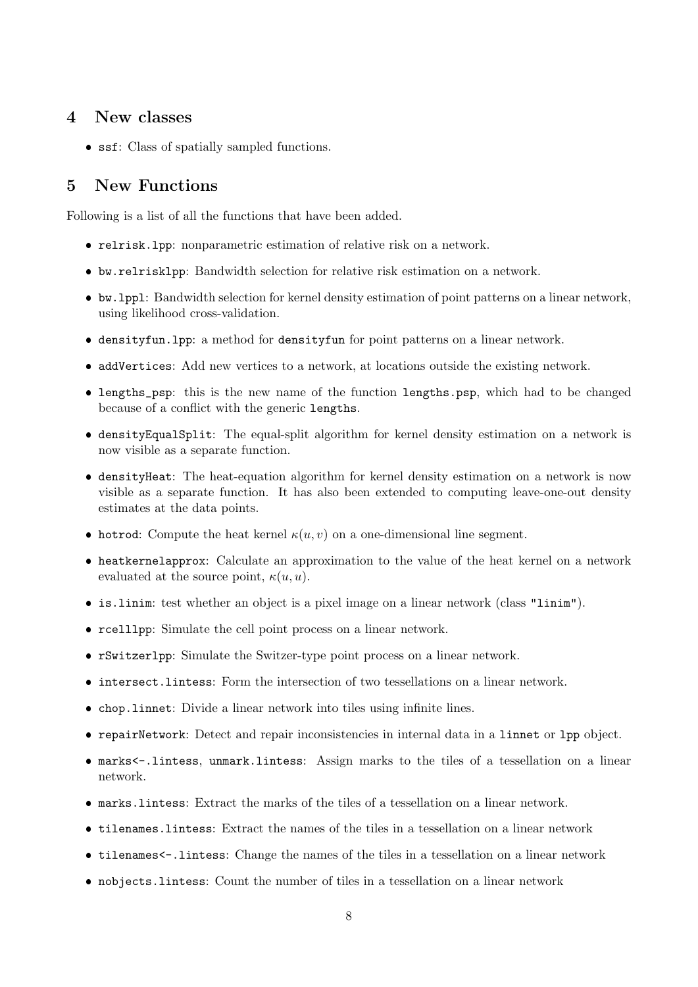#### 4 New classes

• ssf: Class of spatially sampled functions.

## 5 New Functions

Following is a list of all the functions that have been added.

- relrisk.lpp: nonparametric estimation of relative risk on a network.
- bw.relrisklpp: Bandwidth selection for relative risk estimation on a network.
- bw.lppl: Bandwidth selection for kernel density estimation of point patterns on a linear network, using likelihood cross-validation.
- densityfun.lpp: a method for densityfun for point patterns on a linear network.
- addVertices: Add new vertices to a network, at locations outside the existing network.
- lengths\_psp: this is the new name of the function lengths.psp, which had to be changed because of a conflict with the generic lengths.
- densityEqualSplit: The equal-split algorithm for kernel density estimation on a network is now visible as a separate function.
- densityHeat: The heat-equation algorithm for kernel density estimation on a network is now visible as a separate function. It has also been extended to computing leave-one-out density estimates at the data points.
- hotrod: Compute the heat kernel  $\kappa(u, v)$  on a one-dimensional line segment.
- heatkernelapprox: Calculate an approximation to the value of the heat kernel on a network evaluated at the source point,  $\kappa(u, u)$ .
- is.linim: test whether an object is a pixel image on a linear network (class "linim").
- rcelllpp: Simulate the cell point process on a linear network.
- rSwitzerlpp: Simulate the Switzer-type point process on a linear network.
- intersect.lintess: Form the intersection of two tessellations on a linear network.
- chop.linnet: Divide a linear network into tiles using infinite lines.
- repairNetwork: Detect and repair inconsistencies in internal data in a linnet or lpp object.
- marks<-.lintess, unmark.lintess: Assign marks to the tiles of a tessellation on a linear network.
- marks.lintess: Extract the marks of the tiles of a tessellation on a linear network.
- tilenames.lintess: Extract the names of the tiles in a tessellation on a linear network
- tilenames<-.lintess: Change the names of the tiles in a tessellation on a linear network
- nobjects.lintess: Count the number of tiles in a tessellation on a linear network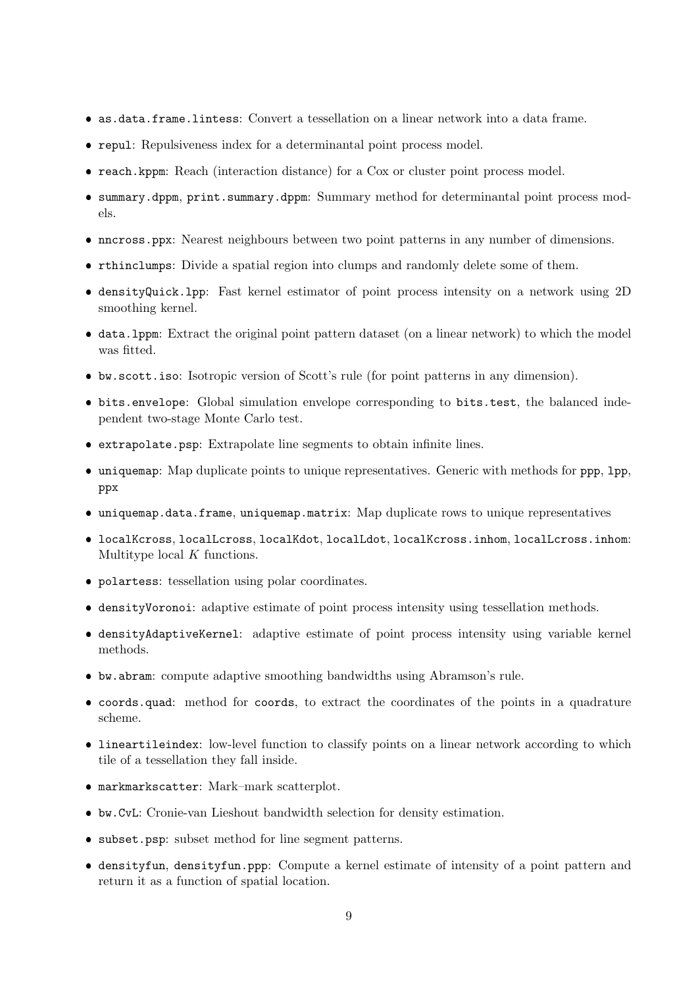- as.data.frame.lintess: Convert a tessellation on a linear network into a data frame.
- repul: Repulsiveness index for a determinantal point process model.
- reach.kppm: Reach (interaction distance) for a Cox or cluster point process model.
- summary.dppm, print.summary.dppm: Summary method for determinantal point process models.
- nncross.ppx: Nearest neighbours between two point patterns in any number of dimensions.
- rthinclumps: Divide a spatial region into clumps and randomly delete some of them.
- densityQuick.lpp: Fast kernel estimator of point process intensity on a network using 2D smoothing kernel.
- data.lppm: Extract the original point pattern dataset (on a linear network) to which the model was fitted.
- bw.scott.iso: Isotropic version of Scott's rule (for point patterns in any dimension).
- bits.envelope: Global simulation envelope corresponding to bits.test, the balanced independent two-stage Monte Carlo test.
- extrapolate.psp: Extrapolate line segments to obtain infinite lines.
- uniquemap: Map duplicate points to unique representatives. Generic with methods for ppp, lpp, ppx
- uniquemap.data.frame, uniquemap.matrix: Map duplicate rows to unique representatives
- localKcross, localLcross, localKdot, localLdot, localKcross.inhom, localLcross.inhom: Multitype local K functions.
- polartess: tessellation using polar coordinates.
- densityVoronoi: adaptive estimate of point process intensity using tessellation methods.
- densityAdaptiveKernel: adaptive estimate of point process intensity using variable kernel methods.
- bw.abram: compute adaptive smoothing bandwidths using Abramson's rule.
- coords.quad: method for coords, to extract the coordinates of the points in a quadrature scheme.
- lineartileindex: low-level function to classify points on a linear network according to which tile of a tessellation they fall inside.
- markmarkscatter: Mark–mark scatterplot.
- bw.CvL: Cronie-van Lieshout bandwidth selection for density estimation.
- subset.psp: subset method for line segment patterns.
- densityfun, densityfun.ppp: Compute a kernel estimate of intensity of a point pattern and return it as a function of spatial location.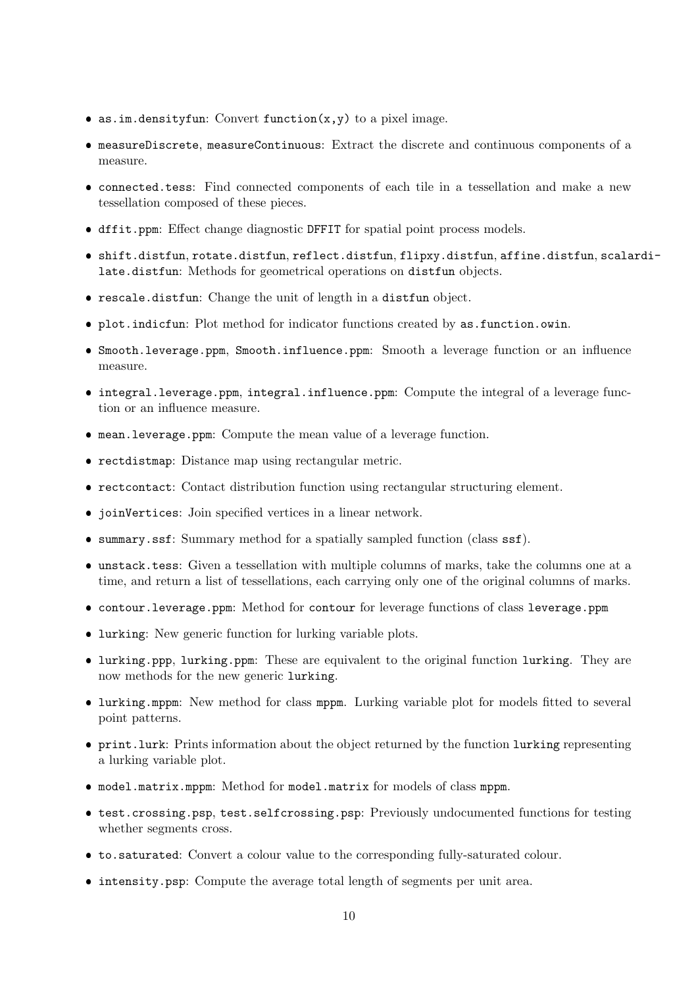- as.im.densityfun: Convert function $(x, y)$  to a pixel image.
- measureDiscrete, measureContinuous: Extract the discrete and continuous components of a measure.
- connected.tess: Find connected components of each tile in a tessellation and make a new tessellation composed of these pieces.
- dffit.ppm: Effect change diagnostic DFFIT for spatial point process models.
- shift.distfun, rotate.distfun, reflect.distfun, flipxy.distfun, affine.distfun, scalardilate.distfun: Methods for geometrical operations on distfun objects.
- rescale.distfun: Change the unit of length in a distfun object.
- plot.indicfun: Plot method for indicator functions created by as.function.owin.
- Smooth.leverage.ppm, Smooth.influence.ppm: Smooth a leverage function or an influence measure.
- integral.leverage.ppm, integral.influence.ppm: Compute the integral of a leverage function or an influence measure.
- mean.leverage.ppm: Compute the mean value of a leverage function.
- rectdistmap: Distance map using rectangular metric.
- rectcontact: Contact distribution function using rectangular structuring element.
- joinVertices: Join specified vertices in a linear network.
- summary.ssf: Summary method for a spatially sampled function (class ssf).
- unstack.tess: Given a tessellation with multiple columns of marks, take the columns one at a time, and return a list of tessellations, each carrying only one of the original columns of marks.
- contour.leverage.ppm: Method for contour for leverage functions of class leverage.ppm
- lurking: New generic function for lurking variable plots.
- lurking.ppp, lurking.ppm: These are equivalent to the original function lurking. They are now methods for the new generic lurking.
- lurking.mppm: New method for class mppm. Lurking variable plot for models fitted to several point patterns.
- print.lurk: Prints information about the object returned by the function lurking representing a lurking variable plot.
- model.matrix.mppm: Method for model.matrix for models of class mppm.
- test.crossing.psp, test.selfcrossing.psp: Previously undocumented functions for testing whether segments cross.
- to.saturated: Convert a colour value to the corresponding fully-saturated colour.
- intensity.psp: Compute the average total length of segments per unit area.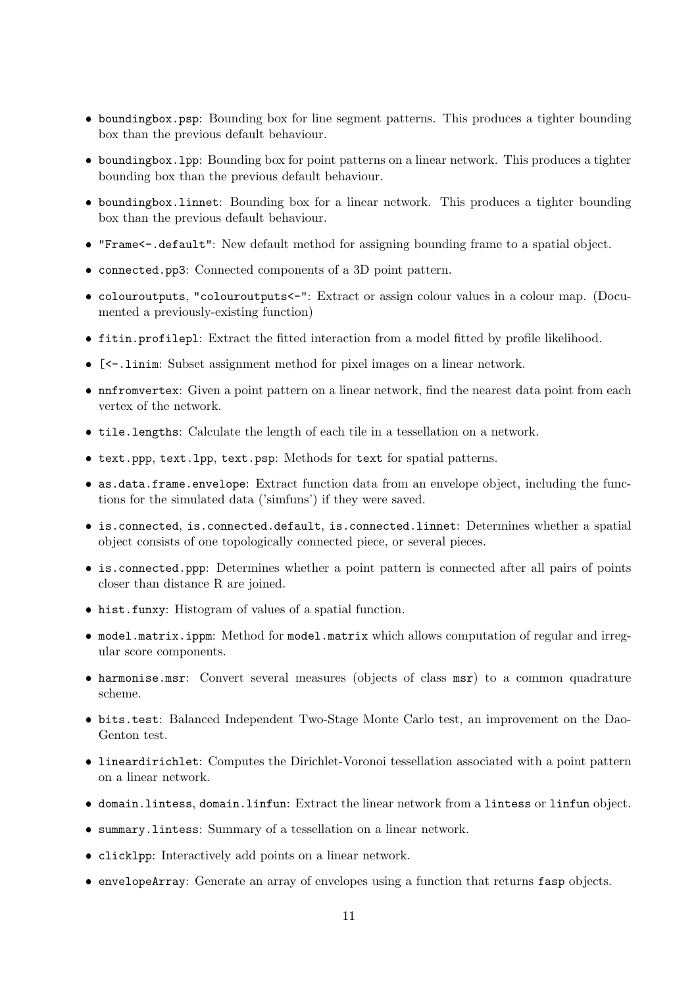- boundingbox.psp: Bounding box for line segment patterns. This produces a tighter bounding box than the previous default behaviour.
- boundingbox.lpp: Bounding box for point patterns on a linear network. This produces a tighter bounding box than the previous default behaviour.
- boundingbox.linnet: Bounding box for a linear network. This produces a tighter bounding box than the previous default behaviour.
- "Frame<-.default": New default method for assigning bounding frame to a spatial object.
- connected.pp3: Connected components of a 3D point pattern.
- colouroutputs, "colouroutputs<-": Extract or assign colour values in a colour map. (Documented a previously-existing function)
- fitin.profilepl: Extract the fitted interaction from a model fitted by profile likelihood.
- [<-.linim: Subset assignment method for pixel images on a linear network.
- nnfromvertex: Given a point pattern on a linear network, find the nearest data point from each vertex of the network.
- tile.lengths: Calculate the length of each tile in a tessellation on a network.
- text.ppp, text.lpp, text.psp: Methods for text for spatial patterns.
- as.data.frame.envelope: Extract function data from an envelope object, including the functions for the simulated data ('simfuns') if they were saved.
- is.connected, is.connected.default, is.connected.linnet: Determines whether a spatial object consists of one topologically connected piece, or several pieces.
- is.connected.ppp: Determines whether a point pattern is connected after all pairs of points closer than distance R are joined.
- hist.funxy: Histogram of values of a spatial function.
- model.matrix.ippm: Method for model.matrix which allows computation of regular and irregular score components.
- harmonise.msr: Convert several measures (objects of class msr) to a common quadrature scheme.
- bits.test: Balanced Independent Two-Stage Monte Carlo test, an improvement on the Dao-Genton test.
- lineardirichlet: Computes the Dirichlet-Voronoi tessellation associated with a point pattern on a linear network.
- domain.lintess, domain.linfun: Extract the linear network from a lintess or linfun object.
- summary.lintess: Summary of a tessellation on a linear network.
- clicklpp: Interactively add points on a linear network.
- envelopeArray: Generate an array of envelopes using a function that returns fasp objects.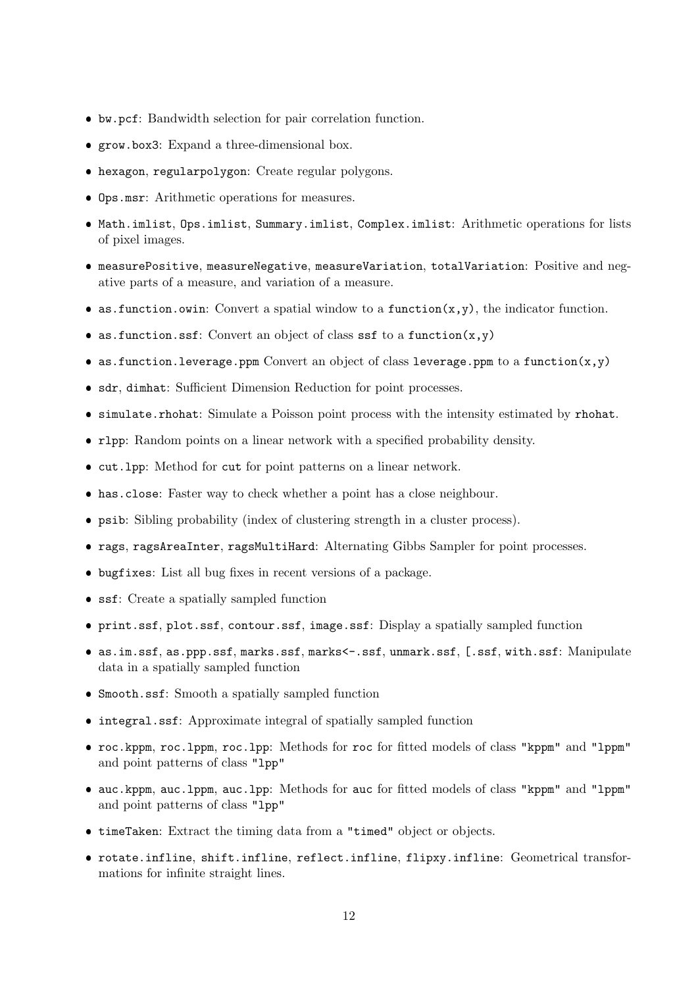- bw.pcf: Bandwidth selection for pair correlation function.
- grow.box3: Expand a three-dimensional box.
- hexagon, regularpolygon: Create regular polygons.
- Ops.msr: Arithmetic operations for measures.
- Math.imlist, Ops.imlist, Summary.imlist, Complex.imlist: Arithmetic operations for lists of pixel images.
- measurePositive, measureNegative, measureVariation, totalVariation: Positive and negative parts of a measure, and variation of a measure.
- as.function.owin: Convert a spatial window to a function $(x,y)$ , the indicator function.
- as.function.ssf: Convert an object of class ssf to a function $(x, y)$
- as.function.leverage.ppm Convert an object of class leverage.ppm to a function $(x,y)$
- sdr, dimhat: Sufficient Dimension Reduction for point processes.
- simulate.rhohat: Simulate a Poisson point process with the intensity estimated by rhohat.
- rlpp: Random points on a linear network with a specified probability density.
- cut.lpp: Method for cut for point patterns on a linear network.
- has.close: Faster way to check whether a point has a close neighbour.
- psib: Sibling probability (index of clustering strength in a cluster process).
- rags, ragsAreaInter, ragsMultiHard: Alternating Gibbs Sampler for point processes.
- bugfixes: List all bug fixes in recent versions of a package.
- ssf: Create a spatially sampled function
- print.ssf, plot.ssf, contour.ssf, image.ssf: Display a spatially sampled function
- as.im.ssf, as.ppp.ssf, marks.ssf, marks<-.ssf, unmark.ssf, [.ssf, with.ssf: Manipulate data in a spatially sampled function
- Smooth.ssf: Smooth a spatially sampled function
- integral.ssf: Approximate integral of spatially sampled function
- roc.kppm, roc.lppm, roc.lpp: Methods for roc for fitted models of class "kppm" and "lppm" and point patterns of class "lpp"
- auc.kppm, auc.lppm, auc.lpp: Methods for auc for fitted models of class "kppm" and "lppm" and point patterns of class "lpp"
- timeTaken: Extract the timing data from a "timed" object or objects.
- rotate.infline, shift.infline, reflect.infline, flipxy.infline: Geometrical transformations for infinite straight lines.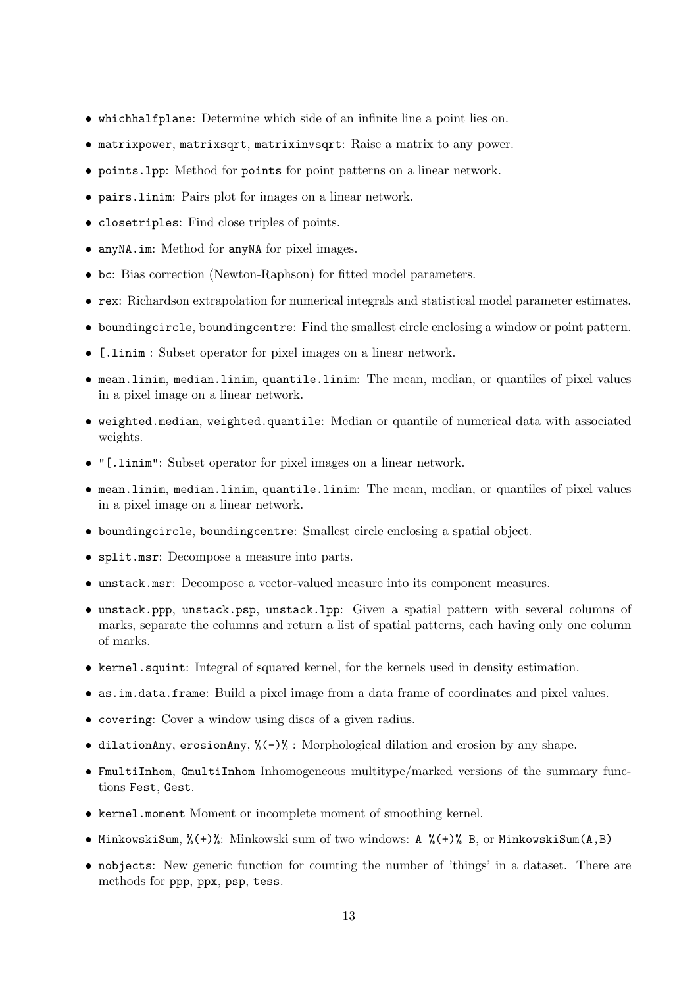- whichhalfplane: Determine which side of an infinite line a point lies on.
- matrixpower, matrixsqrt, matrixinvsqrt: Raise a matrix to any power.
- points.lpp: Method for points for point patterns on a linear network.
- pairs.linim: Pairs plot for images on a linear network.
- closetriples: Find close triples of points.
- anyNA.im: Method for anyNA for pixel images.
- bc: Bias correction (Newton-Raphson) for fitted model parameters.
- rex: Richardson extrapolation for numerical integrals and statistical model parameter estimates.
- boundingcircle, boundingcentre: Find the smallest circle enclosing a window or point pattern.
- [.linim : Subset operator for pixel images on a linear network.
- mean.linim, median.linim, quantile.linim: The mean, median, or quantiles of pixel values in a pixel image on a linear network.
- weighted.median, weighted.quantile: Median or quantile of numerical data with associated weights.
- "[.linim": Subset operator for pixel images on a linear network.
- mean.linim, median.linim, quantile.linim: The mean, median, or quantiles of pixel values in a pixel image on a linear network.
- boundingcircle, boundingcentre: Smallest circle enclosing a spatial object.
- split.msr: Decompose a measure into parts.
- unstack.msr: Decompose a vector-valued measure into its component measures.
- unstack.ppp, unstack.psp, unstack.lpp: Given a spatial pattern with several columns of marks, separate the columns and return a list of spatial patterns, each having only one column of marks.
- kernel.squint: Integral of squared kernel, for the kernels used in density estimation.
- as.im.data.frame: Build a pixel image from a data frame of coordinates and pixel values.
- covering: Cover a window using discs of a given radius.
- $\bullet$  dilationAny, erosionAny, % $(-)$ % : Morphological dilation and erosion by any shape.
- FmultiInhom, GmultiInhom Inhomogeneous multitype/marked versions of the summary functions Fest, Gest.
- kernel.moment Moment or incomplete moment of smoothing kernel.
- MinkowskiSum, %(+)%: Minkowski sum of two windows: A %(+)% B, or MinkowskiSum(A,B)
- nobjects: New generic function for counting the number of 'things' in a dataset. There are methods for ppp, ppx, psp, tess.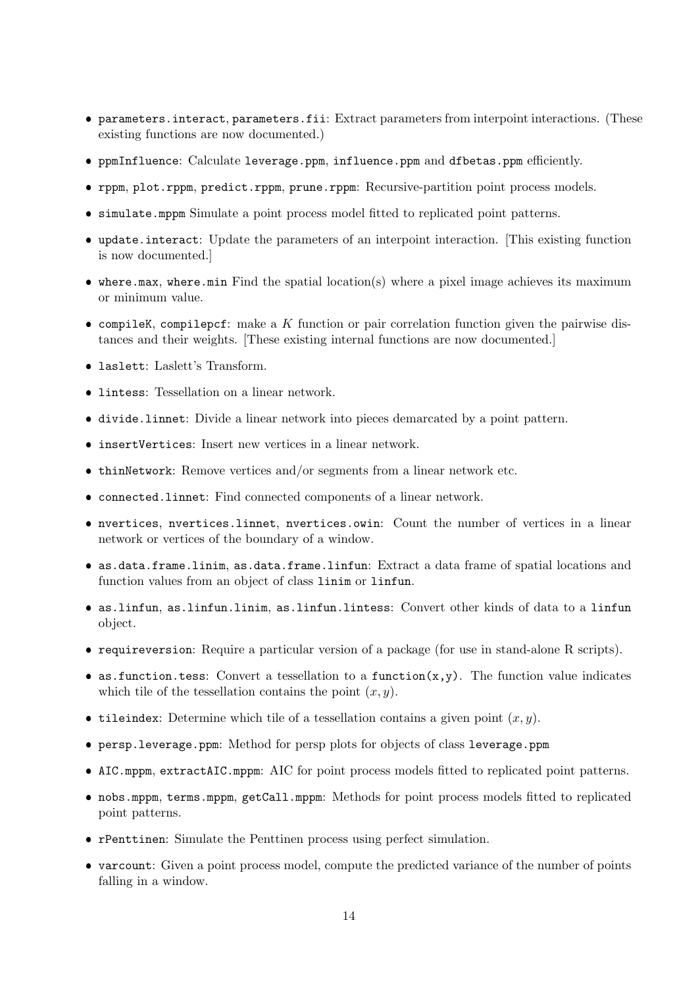- parameters.interact, parameters.fii: Extract parameters from interpoint interactions. (These existing functions are now documented.)
- ppmInfluence: Calculate leverage.ppm, influence.ppm and dfbetas.ppm efficiently.
- rppm, plot.rppm, predict.rppm, prune.rppm: Recursive-partition point process models.
- simulate.mppm Simulate a point process model fitted to replicated point patterns.
- update.interact: Update the parameters of an interpoint interaction. [This existing function is now documented.]
- where.max, where.min Find the spatial location(s) where a pixel image achieves its maximum or minimum value.
- $\bullet$  compileK, compilepcf: make a  $K$  function or pair correlation function given the pairwise distances and their weights. [These existing internal functions are now documented.]
- laslett: Laslett's Transform.
- **lintess:** Tessellation on a linear network.
- divide.linnet: Divide a linear network into pieces demarcated by a point pattern.
- insertVertices: Insert new vertices in a linear network.
- thinNetwork: Remove vertices and/or segments from a linear network etc.
- connected.linnet: Find connected components of a linear network.
- nvertices, nvertices.linnet, nvertices.owin: Count the number of vertices in a linear network or vertices of the boundary of a window.
- as.data.frame.linim, as.data.frame.linfun: Extract a data frame of spatial locations and function values from an object of class linim or linfun.
- as.linfun, as.linfun.linim, as.linfun.lintess: Convert other kinds of data to a linfun object.
- requireversion: Require a particular version of a package (for use in stand-alone R scripts).
- as.function.tess: Convert a tessellation to a function $(x, y)$ . The function value indicates which tile of the tessellation contains the point  $(x, y)$ .
- tileindex: Determine which tile of a tessellation contains a given point  $(x, y)$ .
- persp.leverage.ppm: Method for persp plots for objects of class leverage.ppm
- AIC.mppm, extractAIC.mppm: AIC for point process models fitted to replicated point patterns.
- nobs.mppm, terms.mppm, getCall.mppm: Methods for point process models fitted to replicated point patterns.
- rPenttinen: Simulate the Penttinen process using perfect simulation.
- varcount: Given a point process model, compute the predicted variance of the number of points falling in a window.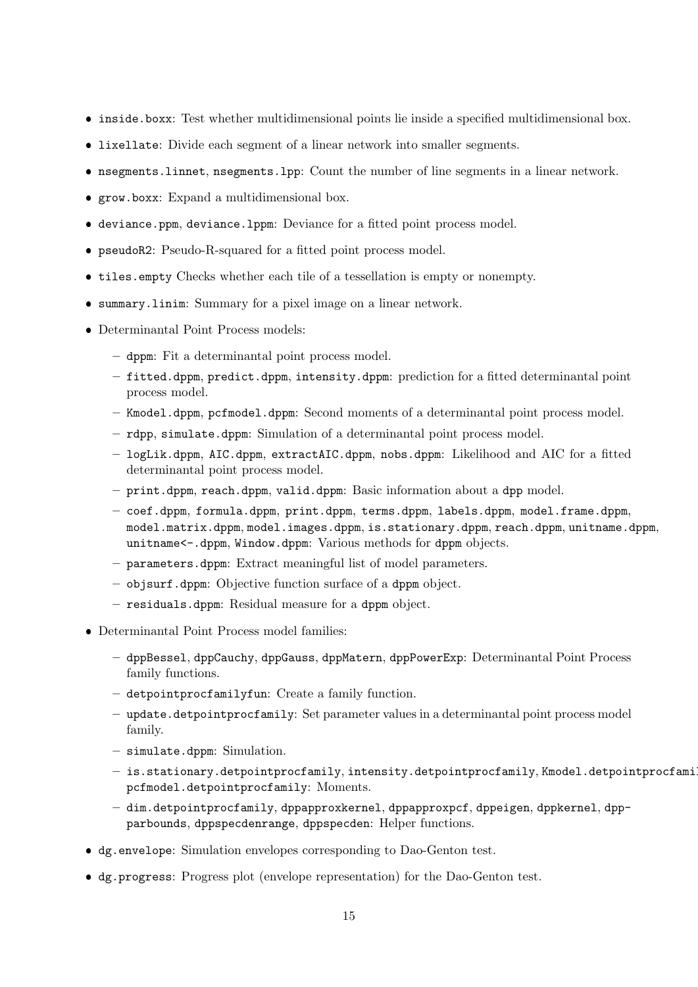- inside.boxx: Test whether multidimensional points lie inside a specified multidimensional box.
- lixellate: Divide each segment of a linear network into smaller segments.
- nsegments.linnet, nsegments.lpp: Count the number of line segments in a linear network.
- grow.boxx: Expand a multidimensional box.
- deviance.ppm, deviance.lppm: Deviance for a fitted point process model.
- pseudoR2: Pseudo-R-squared for a fitted point process model.
- tiles.empty Checks whether each tile of a tessellation is empty or nonempty.
- summary.linim: Summary for a pixel image on a linear network.
- Determinantal Point Process models:
	- dppm: Fit a determinantal point process model.
	- fitted.dppm, predict.dppm, intensity.dppm: prediction for a fitted determinantal point process model.
	- Kmodel.dppm, pcfmodel.dppm: Second moments of a determinantal point process model.
	- rdpp, simulate.dppm: Simulation of a determinantal point process model.
	- logLik.dppm, AIC.dppm, extractAIC.dppm, nobs.dppm: Likelihood and AIC for a fitted determinantal point process model.
	- print.dppm, reach.dppm, valid.dppm: Basic information about a dpp model.
	- coef.dppm, formula.dppm, print.dppm, terms.dppm, labels.dppm, model.frame.dppm, model.matrix.dppm, model.images.dppm, is.stationary.dppm, reach.dppm, unitname.dppm, unitname<-.dppm, Window.dppm: Various methods for dppm objects.
	- parameters.dppm: Extract meaningful list of model parameters.
	- objsurf.dppm: Objective function surface of a dppm object.
	- residuals.dppm: Residual measure for a dppm object.
- Determinantal Point Process model families:
	- dppBessel, dppCauchy, dppGauss, dppMatern, dppPowerExp: Determinantal Point Process family functions.
	- detpointprocfamilyfun: Create a family function.
	- update.detpointprocfamily: Set parameter values in a determinantal point process model family.
	- simulate.dppm: Simulation.
	- is.stationary.detpointprocfamily, intensity.detpointprocfamily, Kmodel.detpointprocfamily, pcfmodel.detpointprocfamily: Moments.
	- dim.detpointprocfamily, dppapproxkernel, dppapproxpcf, dppeigen, dppkernel, dppparbounds, dppspecdenrange, dppspecden: Helper functions.
- dg.envelope: Simulation envelopes corresponding to Dao-Genton test.
- dg.progress: Progress plot (envelope representation) for the Dao-Genton test.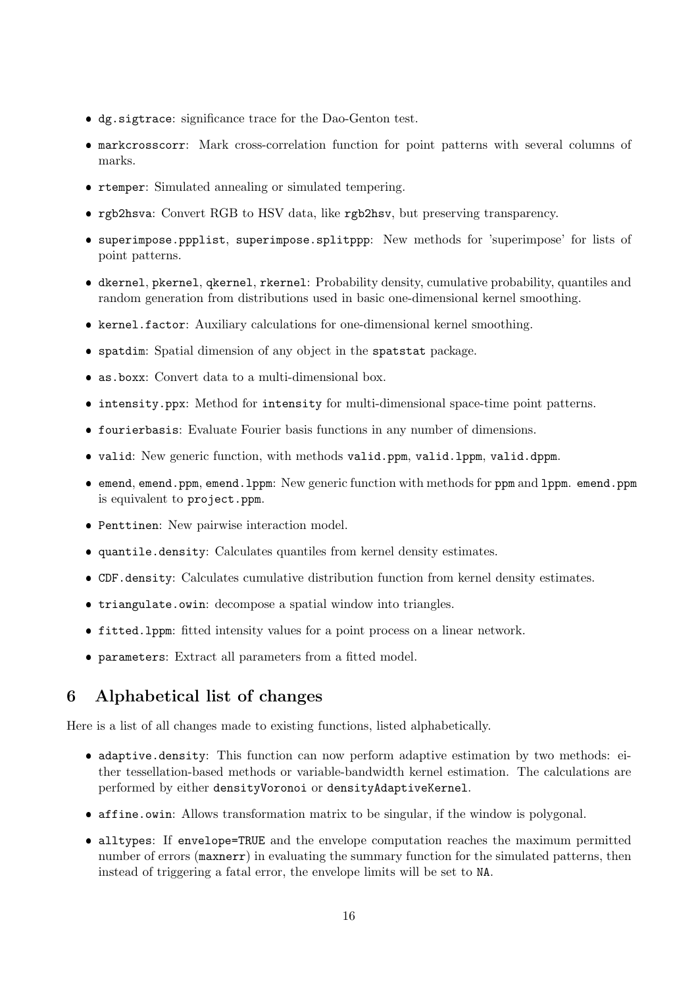- dg.sigtrace: significance trace for the Dao-Genton test.
- markcrosscorr: Mark cross-correlation function for point patterns with several columns of marks.
- rtemper: Simulated annealing or simulated tempering.
- rgb2hsva: Convert RGB to HSV data, like rgb2hsv, but preserving transparency.
- superimpose.ppplist, superimpose.splitppp: New methods for 'superimpose' for lists of point patterns.
- dkernel, pkernel, qkernel, rkernel: Probability density, cumulative probability, quantiles and random generation from distributions used in basic one-dimensional kernel smoothing.
- kernel.factor: Auxiliary calculations for one-dimensional kernel smoothing.
- spatdim: Spatial dimension of any object in the spatstat package.
- as.boxx: Convert data to a multi-dimensional box.
- intensity.ppx: Method for intensity for multi-dimensional space-time point patterns.
- fourierbasis: Evaluate Fourier basis functions in any number of dimensions.
- valid: New generic function, with methods valid.ppm, valid.lppm, valid.dppm.
- emend, emend.ppm, emend.lppm: New generic function with methods for ppm and lppm. emend.ppm is equivalent to project.ppm.
- Penttinen: New pairwise interaction model.
- quantile.density: Calculates quantiles from kernel density estimates.
- CDF.density: Calculates cumulative distribution function from kernel density estimates.
- triangulate.owin: decompose a spatial window into triangles.
- fitted.lppm: fitted intensity values for a point process on a linear network.
- parameters: Extract all parameters from a fitted model.

## 6 Alphabetical list of changes

Here is a list of all changes made to existing functions, listed alphabetically.

- adaptive.density: This function can now perform adaptive estimation by two methods: either tessellation-based methods or variable-bandwidth kernel estimation. The calculations are performed by either densityVoronoi or densityAdaptiveKernel.
- affine.owin: Allows transformation matrix to be singular, if the window is polygonal.
- alltypes: If envelope=TRUE and the envelope computation reaches the maximum permitted number of errors (maxnerr) in evaluating the summary function for the simulated patterns, then instead of triggering a fatal error, the envelope limits will be set to NA.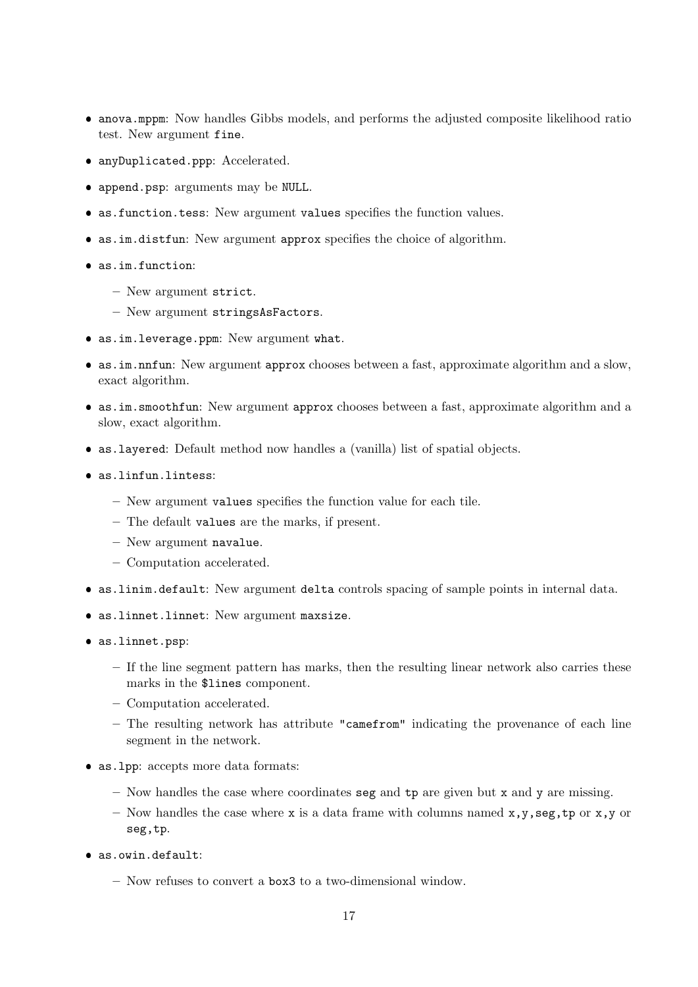- anova.mppm: Now handles Gibbs models, and performs the adjusted composite likelihood ratio test. New argument fine.
- anyDuplicated.ppp: Accelerated.
- append.psp: arguments may be NULL.
- as.function.tess: New argument values specifies the function values.
- as.im.distfun: New argument approx specifies the choice of algorithm.
- as.im.function:
	- New argument strict.
	- New argument stringsAsFactors.
- as.im.leverage.ppm: New argument what.
- as.im.nnfun: New argument approx chooses between a fast, approximate algorithm and a slow, exact algorithm.
- as.im.smoothfun: New argument approx chooses between a fast, approximate algorithm and a slow, exact algorithm.
- as.layered: Default method now handles a (vanilla) list of spatial objects.
- as.linfun.lintess:
	- New argument values specifies the function value for each tile.
	- The default values are the marks, if present.
	- New argument navalue.
	- Computation accelerated.
- as.linim.default: New argument delta controls spacing of sample points in internal data.
- as.linnet.linnet: New argument maxsize.
- as.linnet.psp:
	- If the line segment pattern has marks, then the resulting linear network also carries these marks in the \$lines component.
	- Computation accelerated.
	- The resulting network has attribute "camefrom" indicating the provenance of each line segment in the network.
- as.lpp: accepts more data formats:
	- Now handles the case where coordinates seg and  $tp$  are given but x and y are missing.
	- Now handles the case where x is a data frame with columns named x,y,seg,tp or x,y or seg,tp.
- as.owin.default:
	- Now refuses to convert a box3 to a two-dimensional window.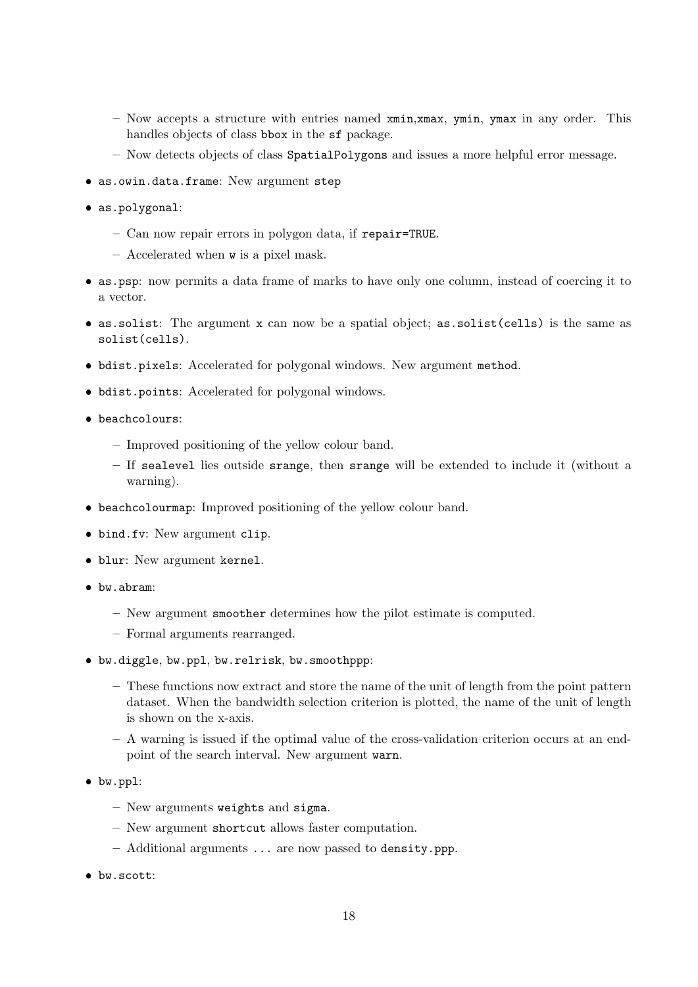- $-$  Now accepts a structure with entries named  $xmin, xmax, ymin, ymax$  in any order. This handles objects of class bbox in the sf package.
- Now detects objects of class SpatialPolygons and issues a more helpful error message.
- as.owin.data.frame: New argument step
- as.polygonal:
	- Can now repair errors in polygon data, if repair=TRUE.
	- Accelerated when w is a pixel mask.
- as.psp: now permits a data frame of marks to have only one column, instead of coercing it to a vector.
- as.solist: The argument x can now be a spatial object; as.solist(cells) is the same as solist(cells).
- bdist.pixels: Accelerated for polygonal windows. New argument method.
- bdist.points: Accelerated for polygonal windows.
- beachcolours:
	- Improved positioning of the yellow colour band.
	- If sealevel lies outside srange, then srange will be extended to include it (without a warning).
- beachcolourmap: Improved positioning of the yellow colour band.
- bind.fv: New argument clip.
- blur: New argument kernel.
- bw.abram:
	- New argument smoother determines how the pilot estimate is computed.
	- Formal arguments rearranged.
- bw.diggle, bw.ppl, bw.relrisk, bw.smoothppp:
	- These functions now extract and store the name of the unit of length from the point pattern dataset. When the bandwidth selection criterion is plotted, the name of the unit of length is shown on the x-axis.
	- A warning is issued if the optimal value of the cross-validation criterion occurs at an endpoint of the search interval. New argument warn.
- bw.ppl:
	- New arguments weights and sigma.
	- New argument shortcut allows faster computation.
	- Additional arguments ... are now passed to density.ppp.
- bw.scott: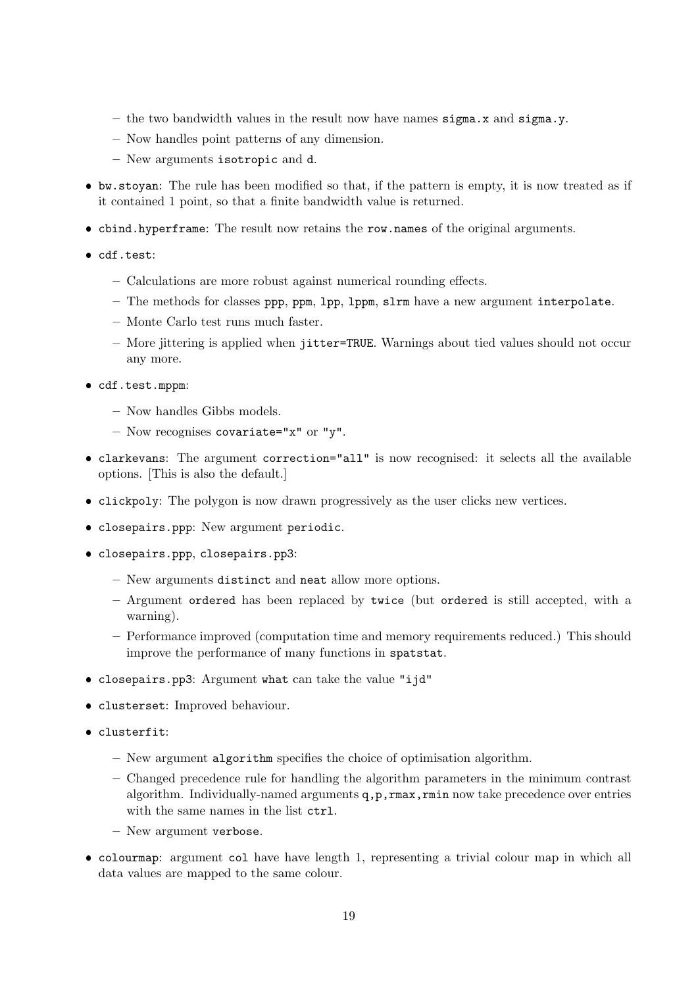- the two bandwidth values in the result now have names  $\sigma$  and  $\sigma$  and  $\sigma$   $\sigma$   $\sigma$
- Now handles point patterns of any dimension.
- New arguments isotropic and d.
- bw.stoyan: The rule has been modified so that, if the pattern is empty, it is now treated as if it contained 1 point, so that a finite bandwidth value is returned.
- cbind.hyperframe: The result now retains the row.names of the original arguments.
- cdf.test:
	- Calculations are more robust against numerical rounding effects.
	- The methods for classes ppp, ppm, lpp, lppm, slrm have a new argument interpolate.
	- Monte Carlo test runs much faster.
	- More jittering is applied when jitter=TRUE. Warnings about tied values should not occur any more.
- cdf.test.mppm:
	- Now handles Gibbs models.
	- Now recognises covariate="x" or "y".
- clarkevans: The argument correction="all" is now recognised: it selects all the available options. [This is also the default.]
- clickpoly: The polygon is now drawn progressively as the user clicks new vertices.
- closepairs.ppp: New argument periodic.
- closepairs.ppp, closepairs.pp3:
	- New arguments distinct and neat allow more options.
	- Argument ordered has been replaced by twice (but ordered is still accepted, with a warning).
	- Performance improved (computation time and memory requirements reduced.) This should improve the performance of many functions in spatstat.
- closepairs.pp3: Argument what can take the value "ijd"
- clusterset: Improved behaviour.
- clusterfit:
	- New argument algorithm specifies the choice of optimisation algorithm.
	- Changed precedence rule for handling the algorithm parameters in the minimum contrast algorithm. Individually-named arguments  $q, p, r$ max,  $r$ min now take precedence over entries with the same names in the list  $ctrl$ .
	- New argument verbose.
- colourmap: argument col have have length 1, representing a trivial colour map in which all data values are mapped to the same colour.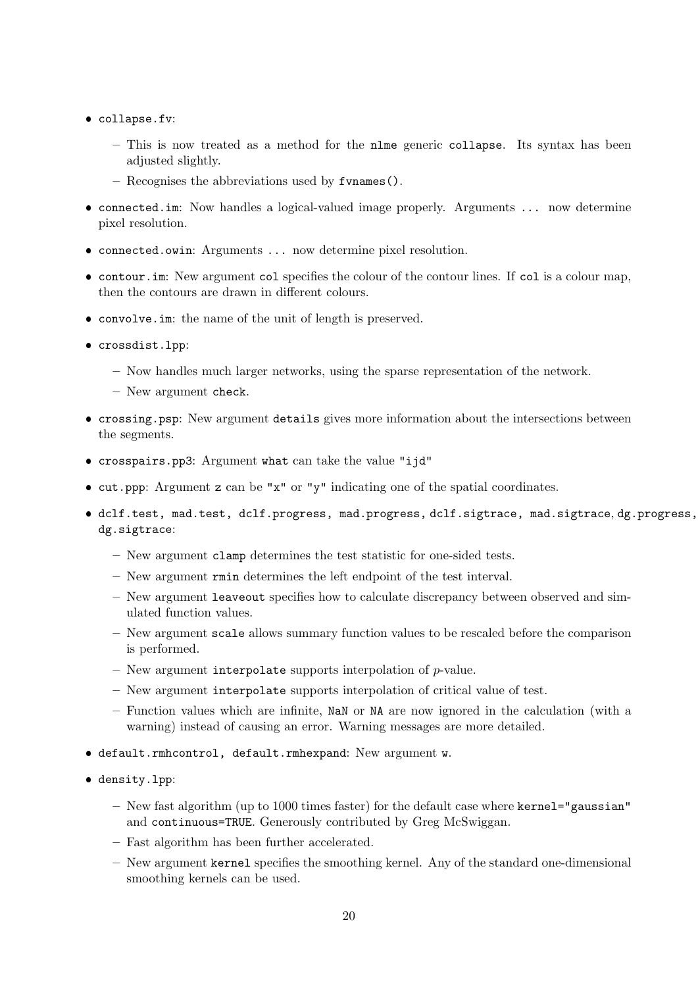- collapse.fv:
	- This is now treated as a method for the nlme generic collapse. Its syntax has been adjusted slightly.
	- Recognises the abbreviations used by fvnames().
- connected.im: Now handles a logical-valued image properly. Arguments ... now determine pixel resolution.
- connected.owin: Arguments ... now determine pixel resolution.
- contour.im: New argument col specifies the colour of the contour lines. If col is a colour map, then the contours are drawn in different colours.
- convolve.im: the name of the unit of length is preserved.
- crossdist.lpp:
	- Now handles much larger networks, using the sparse representation of the network.
	- New argument check.
- crossing.psp: New argument details gives more information about the intersections between the segments.
- crosspairs.pp3: Argument what can take the value "ijd"
- cut.ppp: Argument z can be "x" or "y" indicating one of the spatial coordinates.
- dclf.test, mad.test, dclf.progress, mad.progress, dclf.sigtrace, mad.sigtrace, dg.progress, dg.sigtrace:
	- New argument clamp determines the test statistic for one-sided tests.
	- New argument rmin determines the left endpoint of the test interval.
	- New argument leaveout specifies how to calculate discrepancy between observed and simulated function values.
	- New argument scale allows summary function values to be rescaled before the comparison is performed.
	- New argument interpolate supports interpolation of  $p$ -value.
	- New argument interpolate supports interpolation of critical value of test.
	- Function values which are infinite, NaN or NA are now ignored in the calculation (with a warning) instead of causing an error. Warning messages are more detailed.
- default.rmhcontrol, default.rmhexpand: New argument w.
- density.lpp:
	- $-$  New fast algorithm (up to 1000 times faster) for the default case where kernel="gaussian" and continuous=TRUE. Generously contributed by Greg McSwiggan.
	- Fast algorithm has been further accelerated.
	- New argument kernel specifies the smoothing kernel. Any of the standard one-dimensional smoothing kernels can be used.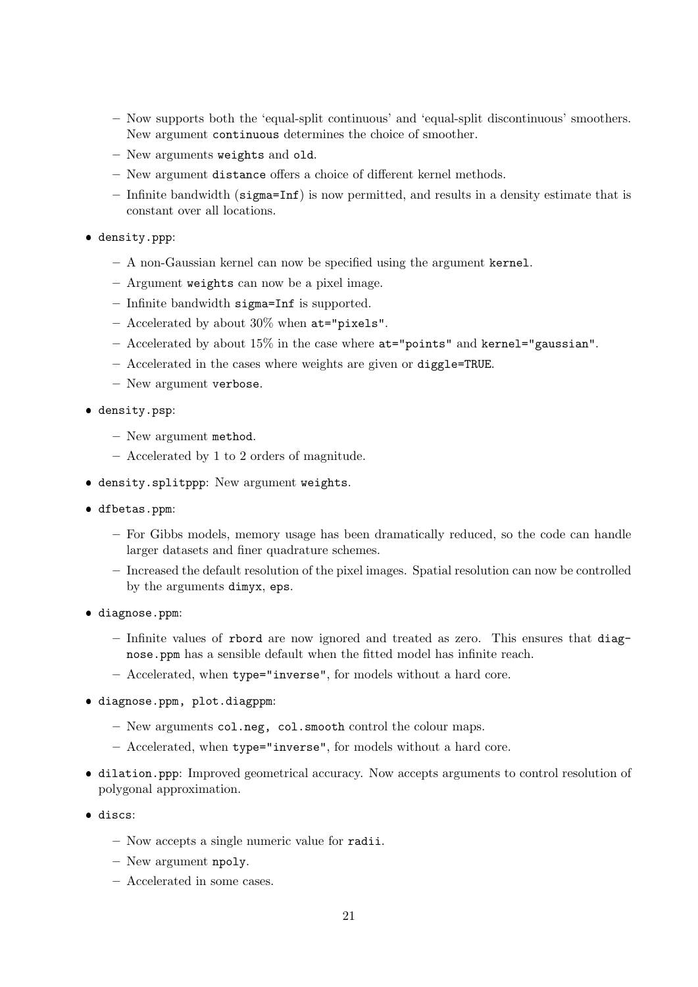- Now supports both the 'equal-split continuous' and 'equal-split discontinuous' smoothers. New argument continuous determines the choice of smoother.
- New arguments weights and old.
- New argument distance offers a choice of different kernel methods.
- Infinite bandwidth (sigma=Inf) is now permitted, and results in a density estimate that is constant over all locations.
- density.ppp:
	- A non-Gaussian kernel can now be specified using the argument kernel.
	- Argument weights can now be a pixel image.
	- Infinite bandwidth sigma=Inf is supported.
	- Accelerated by about 30% when at="pixels".
	- Accelerated by about 15% in the case where at="points" and kernel="gaussian".
	- Accelerated in the cases where weights are given or diggle=TRUE.
	- New argument verbose.
- density.psp:
	- New argument method.
	- Accelerated by 1 to 2 orders of magnitude.
- density.splitppp: New argument weights.
- dfbetas.ppm:
	- For Gibbs models, memory usage has been dramatically reduced, so the code can handle larger datasets and finer quadrature schemes.
	- Increased the default resolution of the pixel images. Spatial resolution can now be controlled by the arguments dimyx, eps.
- diagnose.ppm:
	- $-$  Infinite values of rbord are now ignored and treated as zero. This ensures that diagnose.ppm has a sensible default when the fitted model has infinite reach.
	- Accelerated, when type="inverse", for models without a hard core.
- diagnose.ppm, plot.diagppm:
	- New arguments col.neg, col.smooth control the colour maps.
	- Accelerated, when type="inverse", for models without a hard core.
- dilation.ppp: Improved geometrical accuracy. Now accepts arguments to control resolution of polygonal approximation.
- **.** discs:
	- Now accepts a single numeric value for radii.
	- New argument npoly.
	- Accelerated in some cases.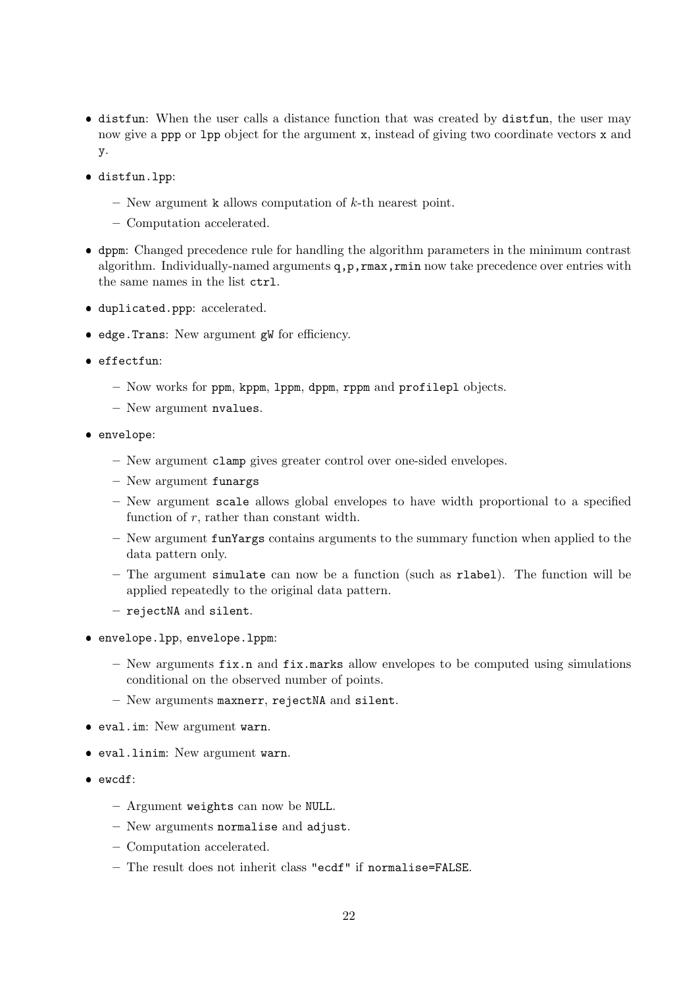- distfun: When the user calls a distance function that was created by distfun, the user may now give a ppp or 1pp object for the argument x, instead of giving two coordinate vectors x and y.
- distfun.lpp:
	- New argument  $k$  allows computation of  $k$ -th nearest point.
	- Computation accelerated.
- dppm: Changed precedence rule for handling the algorithm parameters in the minimum contrast algorithm. Individually-named arguments  $q, p, r$ max,  $r$ min now take precedence over entries with the same names in the list ctrl.
- duplicated.ppp: accelerated.
- edge.Trans: New argument gW for efficiency.
- effectfun:
	- Now works for ppm, kppm, lppm, dppm, rppm and profilepl objects.
	- New argument nvalues.
- envelope:
	- New argument clamp gives greater control over one-sided envelopes.
	- New argument funargs
	- New argument scale allows global envelopes to have width proportional to a specified function of r, rather than constant width.
	- New argument funYargs contains arguments to the summary function when applied to the data pattern only.
	- The argument simulate can now be a function (such as rlabel). The function will be applied repeatedly to the original data pattern.
	- rejectNA and silent.
- envelope.lpp, envelope.lppm:
	- New arguments  $fix.n$  and  $fix.marks$  allow envelopes to be computed using simulations conditional on the observed number of points.
	- New arguments maxnerr, rejectNA and silent.
- eval.im: New argument warn.
- eval.linim: New argument warn.
- ewcdf:
	- Argument weights can now be NULL.
	- New arguments normalise and adjust.
	- Computation accelerated.
	- The result does not inherit class "ecdf" if normalise=FALSE.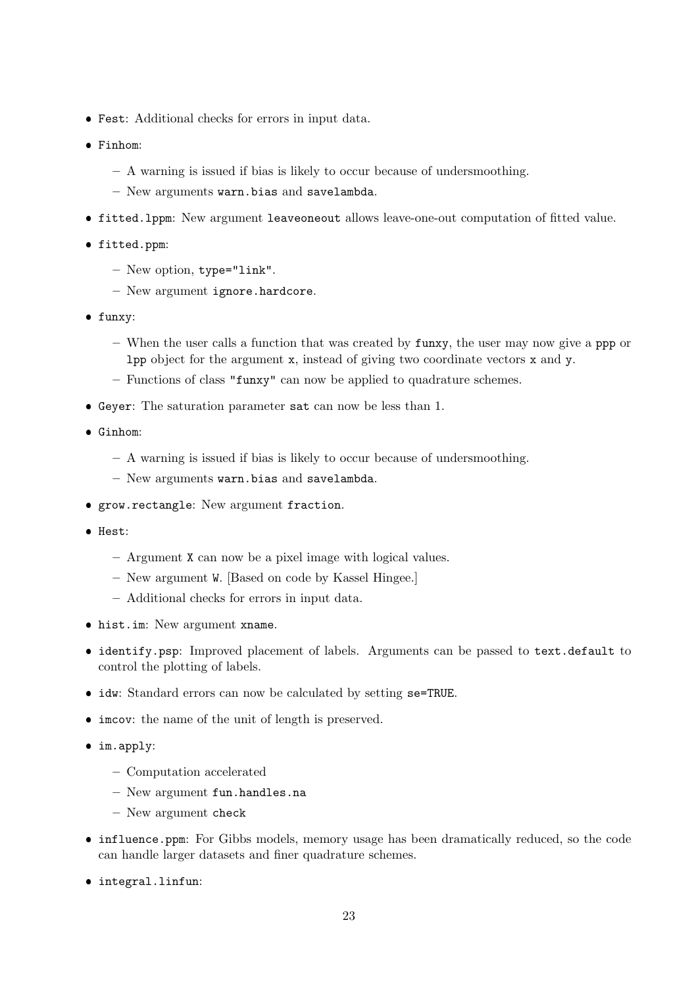- Fest: Additional checks for errors in input data.
- Finhom:
	- A warning is issued if bias is likely to occur because of undersmoothing.
	- New arguments warn.bias and savelambda.
- fitted.lppm: New argument leaveoneout allows leave-one-out computation of fitted value.
- fitted.ppm:
	- New option, type="link".
	- New argument ignore.hardcore.
- funxy:
	- When the user calls a function that was created by funxy, the user may now give a ppp or lpp object for the argument x, instead of giving two coordinate vectors x and y.
	- Functions of class "funxy" can now be applied to quadrature schemes.
- Geyer: The saturation parameter sat can now be less than 1.
- Ginhom:
	- A warning is issued if bias is likely to occur because of undersmoothing.
	- New arguments warn.bias and savelambda.
- grow.rectangle: New argument fraction.
- **•** Hest:
	- Argument X can now be a pixel image with logical values.
	- New argument W. [Based on code by Kassel Hingee.]
	- Additional checks for errors in input data.
- hist.im: New argument xname.
- identify.psp: Improved placement of labels. Arguments can be passed to text.default to control the plotting of labels.
- idw: Standard errors can now be calculated by setting se=TRUE.
- imcov: the name of the unit of length is preserved.
- im.apply:
	- Computation accelerated
	- New argument fun.handles.na
	- New argument check
- influence.ppm: For Gibbs models, memory usage has been dramatically reduced, so the code can handle larger datasets and finer quadrature schemes.
- integral.linfun: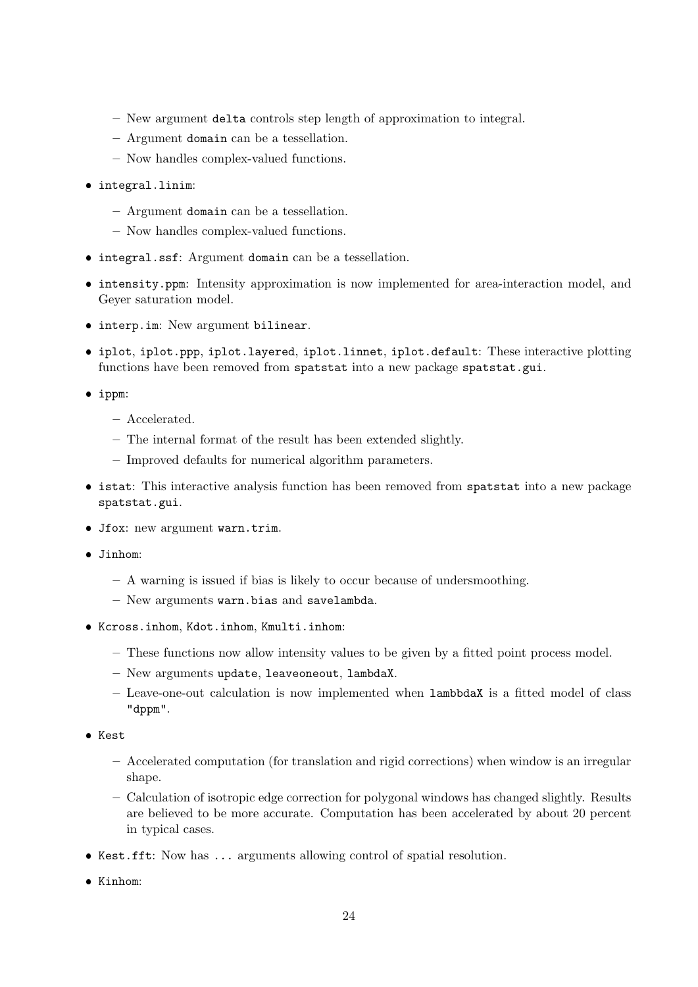- New argument delta controls step length of approximation to integral.
- Argument domain can be a tessellation.
- Now handles complex-valued functions.
- integral.linim:
	- Argument domain can be a tessellation.
	- Now handles complex-valued functions.
- integral.ssf: Argument domain can be a tessellation.
- intensity.ppm: Intensity approximation is now implemented for area-interaction model, and Geyer saturation model.
- interp.im: New argument bilinear.
- iplot, iplot.ppp, iplot.layered, iplot.linnet, iplot.default: These interactive plotting functions have been removed from spatstat into a new package spatstat.gui.
- ippm:
	- Accelerated.
	- The internal format of the result has been extended slightly.
	- Improved defaults for numerical algorithm parameters.
- **istat:** This interactive analysis function has been removed from spatstat into a new package spatstat.gui.
- Jfox: new argument warn.trim.
- Jinhom:
	- A warning is issued if bias is likely to occur because of undersmoothing.
	- New arguments warn.bias and savelambda.
- Kcross.inhom, Kdot.inhom, Kmulti.inhom:
	- These functions now allow intensity values to be given by a fitted point process model.
	- New arguments update, leaveoneout, lambdaX.
	- Leave-one-out calculation is now implemented when lambbdaX is a fitted model of class "dppm".
- **•** Kest
	- Accelerated computation (for translation and rigid corrections) when window is an irregular shape.
	- Calculation of isotropic edge correction for polygonal windows has changed slightly. Results are believed to be more accurate. Computation has been accelerated by about 20 percent in typical cases.
- Kest.fft: Now has ... arguments allowing control of spatial resolution.
- Kinhom: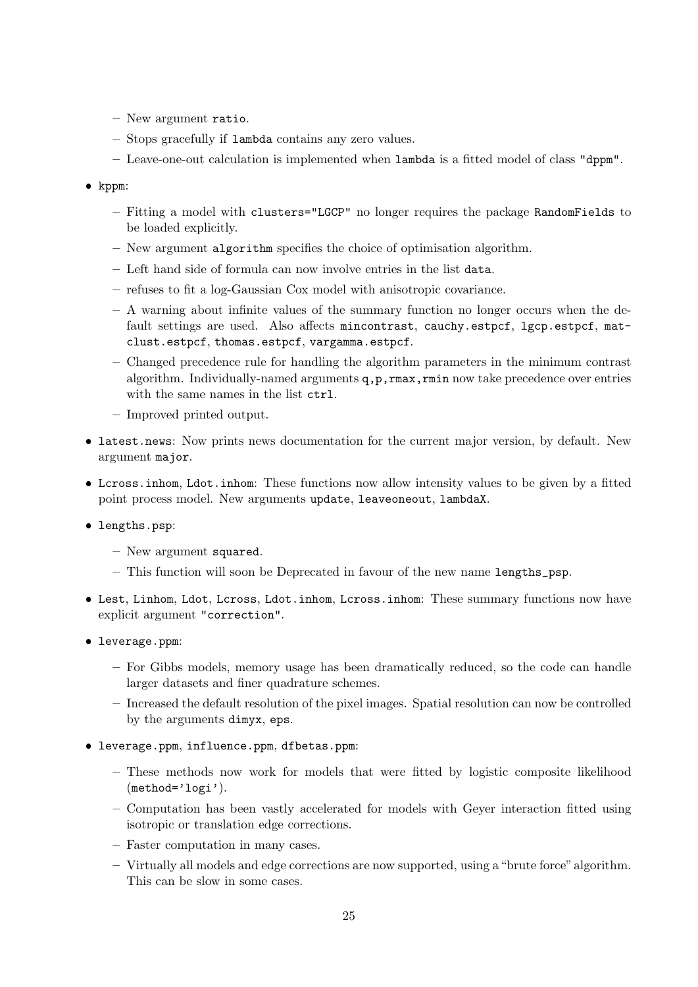- New argument ratio.
- Stops gracefully if lambda contains any zero values.
- Leave-one-out calculation is implemented when lambda is a fitted model of class "dppm".
- kppm:
	- Fitting a model with clusters="LGCP" no longer requires the package RandomFields to be loaded explicitly.
	- New argument algorithm specifies the choice of optimisation algorithm.
	- Left hand side of formula can now involve entries in the list data.
	- refuses to fit a log-Gaussian Cox model with anisotropic covariance.
	- A warning about infinite values of the summary function no longer occurs when the default settings are used. Also affects mincontrast, cauchy.estpcf, lgcp.estpcf, matclust.estpcf, thomas.estpcf, vargamma.estpcf.
	- Changed precedence rule for handling the algorithm parameters in the minimum contrast algorithm. Individually-named arguments  $q, p, r$ max,  $r$ min now take precedence over entries with the same names in the list  $ctrl$ .
	- Improved printed output.
- latest.news: Now prints news documentation for the current major version, by default. New argument major.
- Lcross.inhom, Ldot.inhom: These functions now allow intensity values to be given by a fitted point process model. New arguments update, leaveoneout, lambdaX.
- **·** lengths.psp:
	- New argument squared.
	- $-$  This function will soon be Deprecated in favour of the new name lengths  $psp$ .
- Lest, Linhom, Ldot, Lcross, Ldot.inhom, Lcross.inhom: These summary functions now have explicit argument "correction".
- leverage.ppm:
	- For Gibbs models, memory usage has been dramatically reduced, so the code can handle larger datasets and finer quadrature schemes.
	- Increased the default resolution of the pixel images. Spatial resolution can now be controlled by the arguments dimyx, eps.
- leverage.ppm, influence.ppm, dfbetas.ppm:
	- These methods now work for models that were fitted by logistic composite likelihood (method='logi').
	- Computation has been vastly accelerated for models with Geyer interaction fitted using isotropic or translation edge corrections.
	- Faster computation in many cases.
	- Virtually all models and edge corrections are now supported, using a "brute force" algorithm. This can be slow in some cases.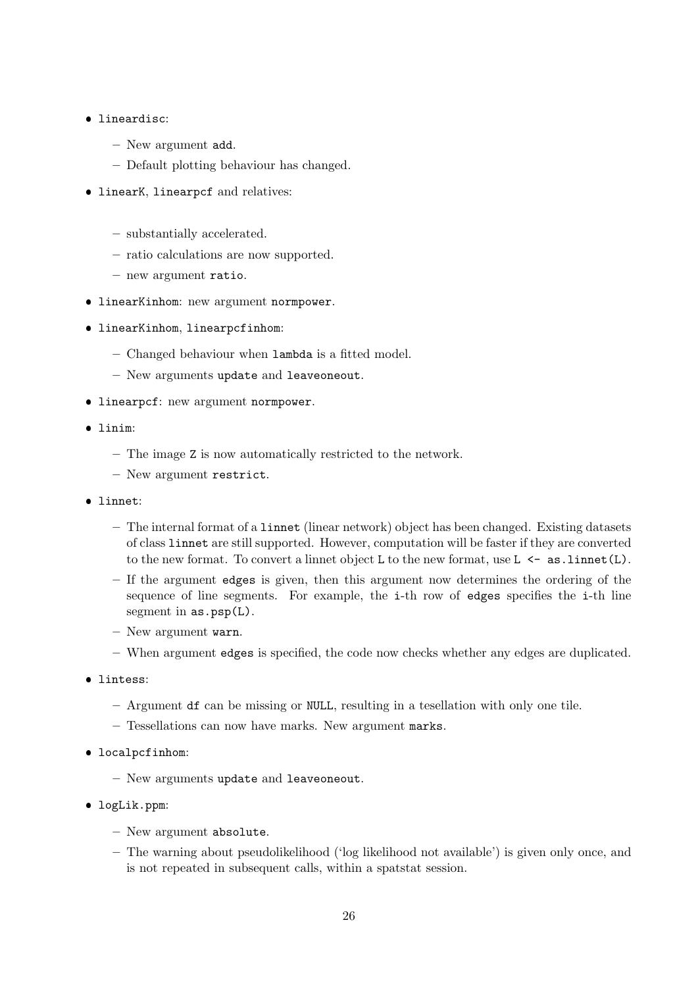# **·** lineardisc:

- New argument add.
- Default plotting behaviour has changed.
- linearK, linearpcf and relatives:
	- substantially accelerated.
	- ratio calculations are now supported.
	- new argument ratio.
- **IinearKinhom:** new argument normpower.
- linearKinhom, linearpcfinhom:
	- Changed behaviour when lambda is a fitted model.
	- New arguments update and leaveoneout.
- linearpcf: new argument normpower.
- linim:
	- The image Z is now automatically restricted to the network.
	- New argument restrict.
- linnet:
	- The internal format of a linnet (linear network) object has been changed. Existing datasets of class linnet are still supported. However, computation will be faster if they are converted to the new format. To convert a linnet object L to the new format, use  $L \leftarrow asu$ . linnet (L).
	- If the argument edges is given, then this argument now determines the ordering of the sequence of line segments. For example, the i-th row of edges specifies the i-th line segment in  $as.psp(L)$ .
	- New argument warn.
	- When argument edges is specified, the code now checks whether any edges are duplicated.
- **·** lintess:
	- Argument df can be missing or NULL, resulting in a tesellation with only one tile.
	- Tessellations can now have marks. New argument marks.
- localpcfinhom:
	- New arguments update and leaveoneout.
- logLik.ppm:
	- New argument absolute.
	- The warning about pseudolikelihood ('log likelihood not available') is given only once, and is not repeated in subsequent calls, within a spatstat session.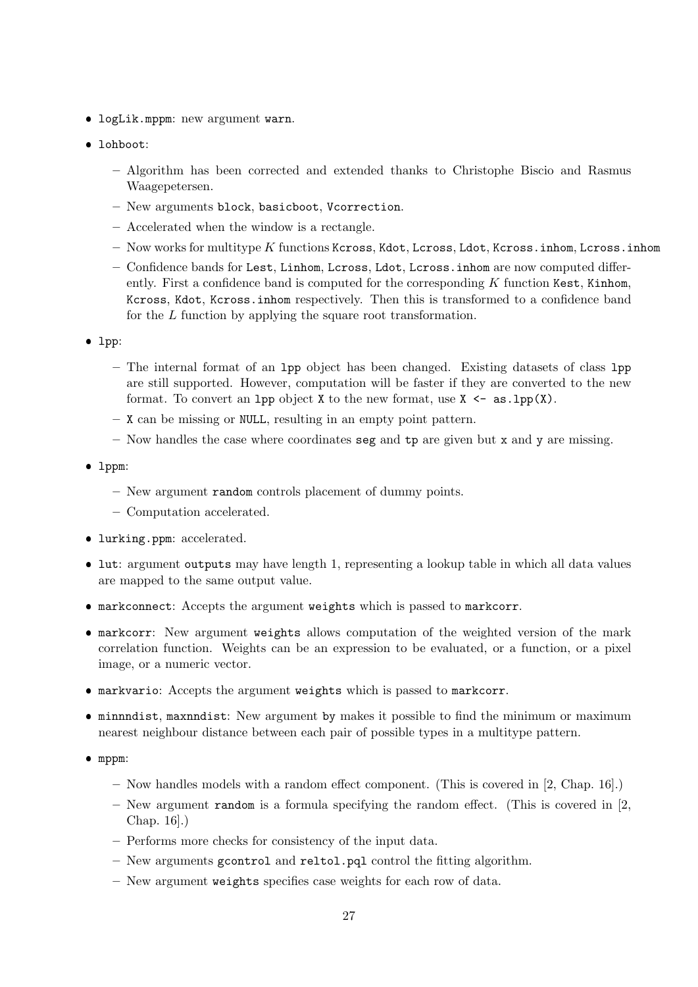- logLik.mppm: new argument warn.
- lohboot:
	- Algorithm has been corrected and extended thanks to Christophe Biscio and Rasmus Waagepetersen.
	- New arguments block, basicboot, Vcorrection.
	- Accelerated when the window is a rectangle.
	- $-$  Now works for multitype  $K$  functions Kcross, Kdot, Lcross, Ldot, Kcross.inhom, Lcross.inhom
	- Confidence bands for Lest, Linhom, Lcross, Ldot, Lcross.inhom are now computed differently. First a confidence band is computed for the corresponding  $K$  function Kest, Kinhom, Kcross, Kdot, Kcross.inhom respectively. Then this is transformed to a confidence band for the L function by applying the square root transformation.
- lpp:
	- The internal format of an lpp object has been changed. Existing datasets of class lpp are still supported. However, computation will be faster if they are converted to the new format. To convert an 1pp object X to the new format, use  $X \leq -a s \cdot 1$ pp $(X)$ .
	- X can be missing or NULL, resulting in an empty point pattern.
	- Now handles the case where coordinates seg and  $tp$  are given but x and y are missing.
- lppm:
	- New argument random controls placement of dummy points.
	- Computation accelerated.
- lurking.ppm: accelerated.
- lut: argument outputs may have length 1, representing a lookup table in which all data values are mapped to the same output value.
- markconnect: Accepts the argument weights which is passed to markcorr.
- markcorr: New argument weights allows computation of the weighted version of the mark correlation function. Weights can be an expression to be evaluated, or a function, or a pixel image, or a numeric vector.
- markvario: Accepts the argument weights which is passed to markcorr.
- minnndist, maxnndist: New argument by makes it possible to find the minimum or maximum nearest neighbour distance between each pair of possible types in a multitype pattern.
- mppm:
	- Now handles models with a random effect component. (This is covered in [2, Chap. 16].)
	- New argument random is a formula specifying the random effect. (This is covered in [2, Chap. 16].)
	- Performs more checks for consistency of the input data.
	- New arguments gcontrol and reltol.pql control the fitting algorithm.
	- New argument weights specifies case weights for each row of data.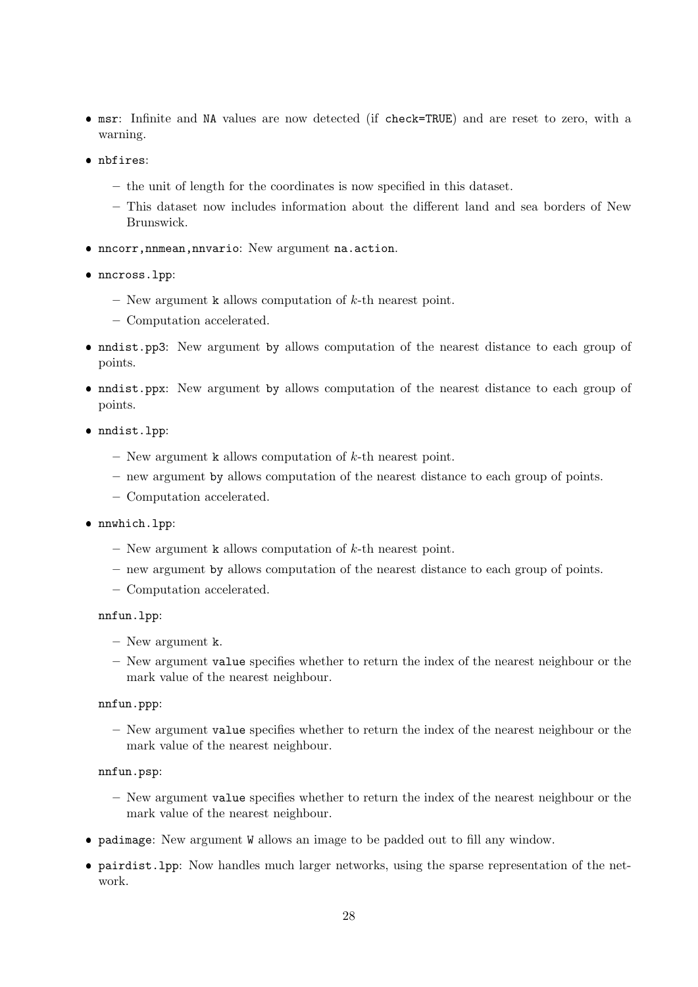- msr: Infinite and NA values are now detected (if check=TRUE) and are reset to zero, with a warning.
- nbfires:
	- the unit of length for the coordinates is now specified in this dataset.
	- This dataset now includes information about the different land and sea borders of New Brunswick.
- nncorr,nnmean,nnvario: New argument na.action.
- nncross.lpp:
	- New argument k allows computation of  $k$ -th nearest point.
	- Computation accelerated.
- nndist.pp3: New argument by allows computation of the nearest distance to each group of points.
- nndist.ppx: New argument by allows computation of the nearest distance to each group of points.
- nndist.lpp:
	- New argument k allows computation of  $k$ -th nearest point.
	- new argument by allows computation of the nearest distance to each group of points.
	- Computation accelerated.
- nnwhich.lpp:
	- New argument k allows computation of  $k$ -th nearest point.
	- new argument by allows computation of the nearest distance to each group of points.
	- Computation accelerated.

#### nnfun.lpp:

- New argument k.
- New argument value specifies whether to return the index of the nearest neighbour or the mark value of the nearest neighbour.

#### nnfun.ppp:

– New argument value specifies whether to return the index of the nearest neighbour or the mark value of the nearest neighbour.

#### nnfun.psp:

- New argument value specifies whether to return the index of the nearest neighbour or the mark value of the nearest neighbour.
- padimage: New argument W allows an image to be padded out to fill any window.
- pairdist.lpp: Now handles much larger networks, using the sparse representation of the network.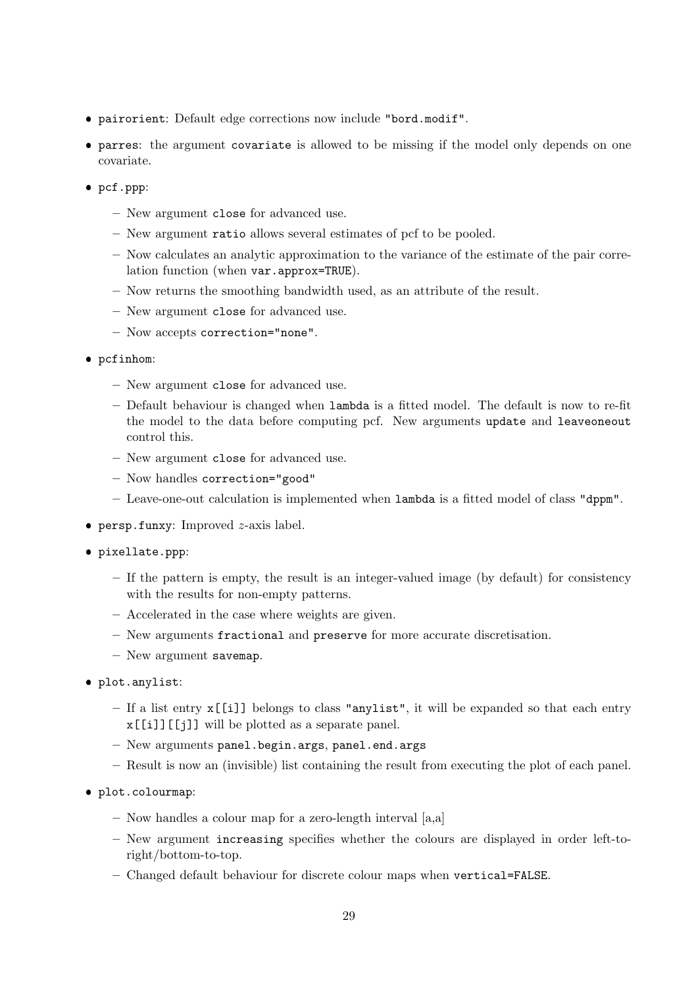- pairorient: Default edge corrections now include "bord.modif".
- parres: the argument covariate is allowed to be missing if the model only depends on one covariate.
- pcf.ppp:
	- New argument close for advanced use.
	- New argument ratio allows several estimates of pcf to be pooled.
	- Now calculates an analytic approximation to the variance of the estimate of the pair correlation function (when var.approx=TRUE).
	- Now returns the smoothing bandwidth used, as an attribute of the result.
	- New argument close for advanced use.
	- Now accepts correction="none".
- pcfinhom:
	- New argument close for advanced use.
	- Default behaviour is changed when lambda is a fitted model. The default is now to re-fit the model to the data before computing pcf. New arguments update and leaveoneout control this.
	- New argument close for advanced use.
	- Now handles correction="good"
	- Leave-one-out calculation is implemented when lambda is a fitted model of class "dppm".
- $\bullet$  persp.funxy: Improved  $z$ -axis label.
- pixellate.ppp:
	- If the pattern is empty, the result is an integer-valued image (by default) for consistency with the results for non-empty patterns.
	- Accelerated in the case where weights are given.
	- New arguments fractional and preserve for more accurate discretisation.
	- New argument savemap.
- plot.anylist:
	- If a list entry x[[i]] belongs to class "anylist", it will be expanded so that each entry x[[i]][[j]] will be plotted as a separate panel.
	- New arguments panel.begin.args, panel.end.args
	- Result is now an (invisible) list containing the result from executing the plot of each panel.
- plot.colourmap:
	- Now handles a colour map for a zero-length interval [a,a]
	- New argument increasing specifies whether the colours are displayed in order left-toright/bottom-to-top.
	- Changed default behaviour for discrete colour maps when vertical=FALSE.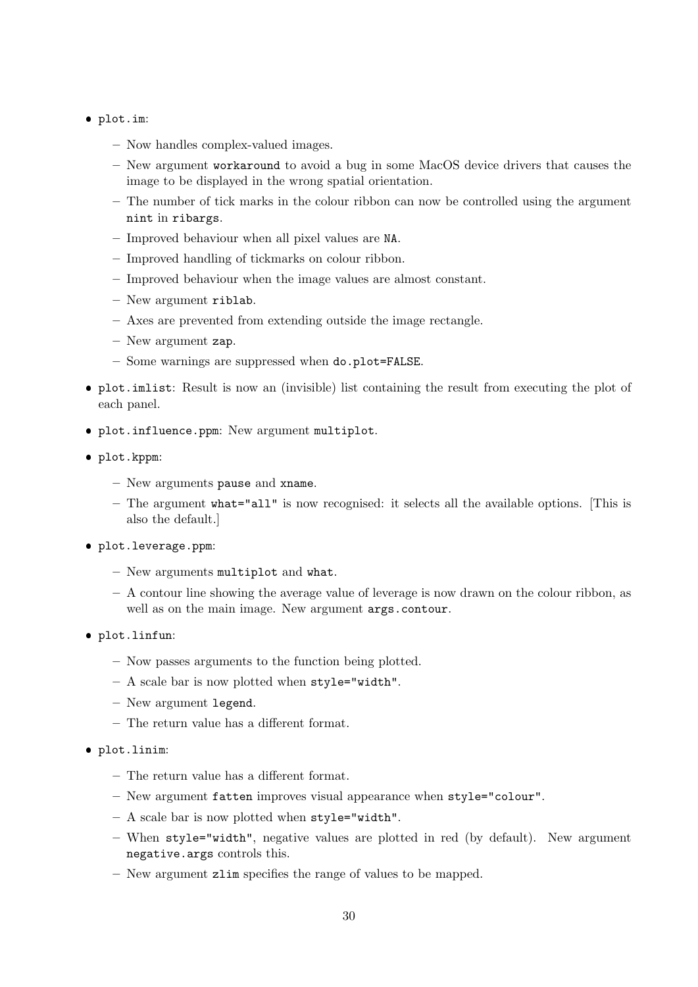# plot.im:

- Now handles complex-valued images.
- New argument workaround to avoid a bug in some MacOS device drivers that causes the image to be displayed in the wrong spatial orientation.
- The number of tick marks in the colour ribbon can now be controlled using the argument nint in ribargs.
- Improved behaviour when all pixel values are NA.
- Improved handling of tickmarks on colour ribbon.
- Improved behaviour when the image values are almost constant.
- New argument riblab.
- Axes are prevented from extending outside the image rectangle.
- New argument zap.
- Some warnings are suppressed when do.plot=FALSE.
- plot.imlist: Result is now an (invisible) list containing the result from executing the plot of each panel.
- plot.influence.ppm: New argument multiplot.
- plot.kppm:
	- New arguments pause and xname.
	- The argument what="all" is now recognised: it selects all the available options. [This is also the default.]
- plot.leverage.ppm:
	- New arguments multiplot and what.
	- A contour line showing the average value of leverage is now drawn on the colour ribbon, as well as on the main image. New argument args.contour.
- plot.linfun:
	- Now passes arguments to the function being plotted.
	- A scale bar is now plotted when style="width".
	- New argument legend.
	- The return value has a different format.
- plot.linim:
	- The return value has a different format.
	- New argument fatten improves visual appearance when style="colour".
	- A scale bar is now plotted when style="width".
	- When style="width", negative values are plotted in red (by default). New argument negative.args controls this.
	- New argument zlim specifies the range of values to be mapped.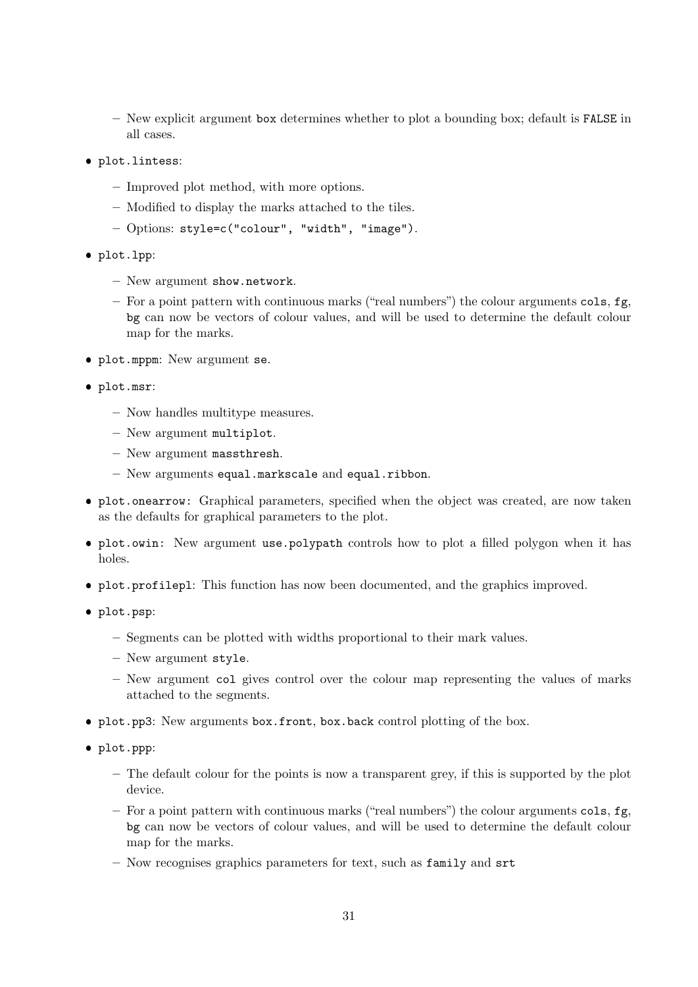– New explicit argument box determines whether to plot a bounding box; default is FALSE in all cases.

- plot.lintess:
	- Improved plot method, with more options.
	- Modified to display the marks attached to the tiles.
	- Options: style=c("colour", "width", "image").
- plot.lpp:
	- New argument show.network.
	- For a point pattern with continuous marks ("real numbers") the colour arguments  $\text{cols}, \text{fg},$ bg can now be vectors of colour values, and will be used to determine the default colour map for the marks.
- plot.mppm: New argument se.
- plot.msr:
	- Now handles multitype measures.
	- New argument multiplot.
	- New argument massthresh.
	- New arguments equal.markscale and equal.ribbon.
- plot.onearrow: Graphical parameters, specified when the object was created, are now taken as the defaults for graphical parameters to the plot.
- plot.owin: New argument use.polypath controls how to plot a filled polygon when it has holes.
- plot.profilepl: This function has now been documented, and the graphics improved.
- plot.psp:
	- Segments can be plotted with widths proportional to their mark values.
	- New argument style.
	- New argument col gives control over the colour map representing the values of marks attached to the segments.
- plot.pp3: New arguments box.front, box.back control plotting of the box.
- plot.ppp:
	- The default colour for the points is now a transparent grey, if this is supported by the plot device.
	- For a point pattern with continuous marks ("real numbers") the colour arguments  $\text{cols}, \text{fg},$ bg can now be vectors of colour values, and will be used to determine the default colour map for the marks.
	- Now recognises graphics parameters for text, such as family and srt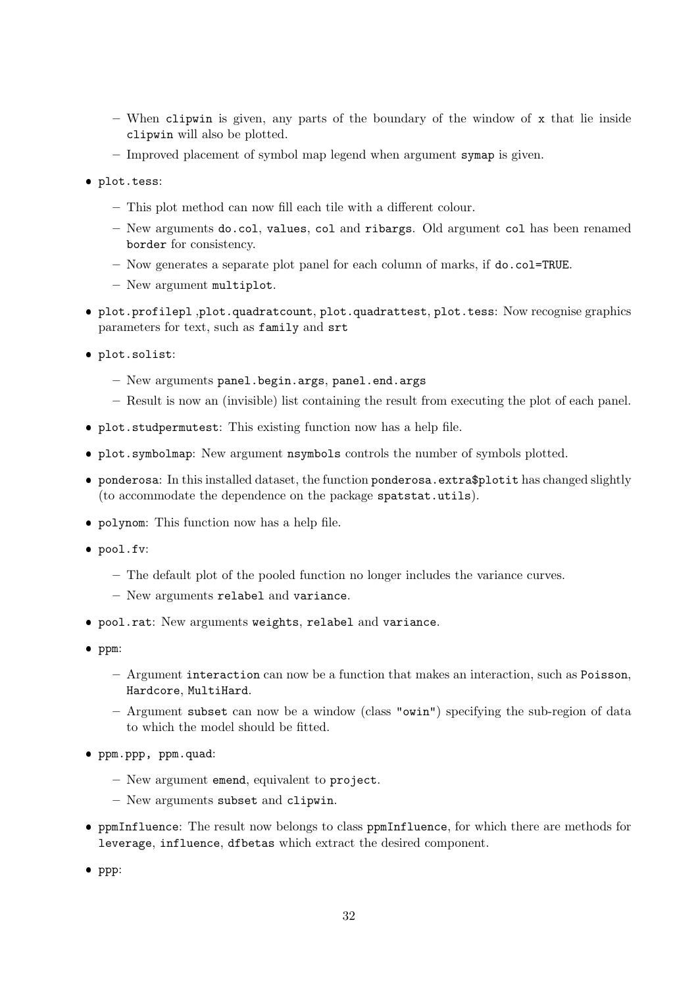- When clipwin is given, any parts of the boundary of the window of  $x$  that lie inside clipwin will also be plotted.
- Improved placement of symbol map legend when argument symap is given.
- plot.tess:
	- This plot method can now fill each tile with a different colour.
	- New arguments do.col, values, col and ribargs. Old argument col has been renamed border for consistency.
	- Now generates a separate plot panel for each column of marks, if do.col=TRUE.
	- New argument multiplot.
- plot.profilepl ,plot.quadratcount, plot.quadrattest, plot.tess: Now recognise graphics parameters for text, such as family and srt
- plot.solist:
	- New arguments panel.begin.args, panel.end.args
	- Result is now an (invisible) list containing the result from executing the plot of each panel.
- plot.studpermutest: This existing function now has a help file.
- plot.symbolmap: New argument nsymbols controls the number of symbols plotted.
- ponderosa: In this installed dataset, the function ponderosa.extra\$plotit has changed slightly (to accommodate the dependence on the package spatstat.utils).
- polynom: This function now has a help file.
- pool.fv:
	- The default plot of the pooled function no longer includes the variance curves.
	- New arguments relabel and variance.
- pool.rat: New arguments weights, relabel and variance.
- ppm:
	- Argument interaction can now be a function that makes an interaction, such as Poisson, Hardcore, MultiHard.
	- Argument subset can now be a window (class "owin") specifying the sub-region of data to which the model should be fitted.
- ppm.ppp, ppm.quad:
	- New argument emend, equivalent to project.
	- New arguments subset and clipwin.
- ppmInfluence: The result now belongs to class ppmInfluence, for which there are methods for leverage, influence, dfbetas which extract the desired component.
- $\bullet$  ppp: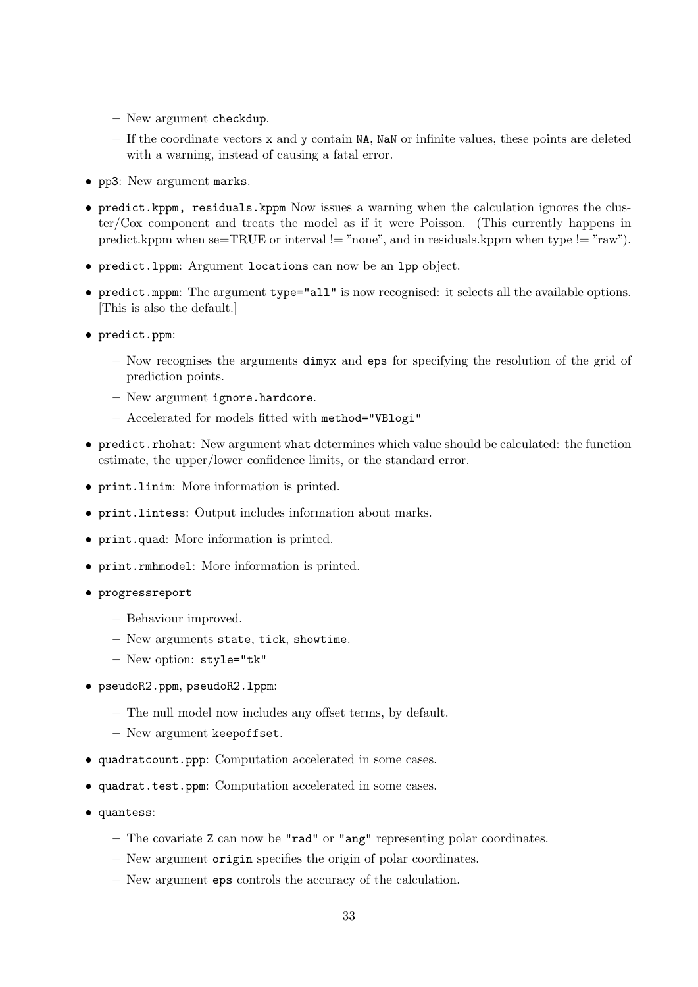- New argument checkdup.
- If the coordinate vectors x and y contain NA, NaN or infinite values, these points are deleted with a warning, instead of causing a fatal error.
- pp3: New argument marks.
- predict.kppm, residuals.kppm Now issues a warning when the calculation ignores the cluster/Cox component and treats the model as if it were Poisson. (This currently happens in predict.kppm when se=TRUE or interval != "none", and in residuals.kppm when type != "raw").
- predict.lppm: Argument locations can now be an lpp object.
- predict.mppm: The argument type="all" is now recognised: it selects all the available options. [This is also the default.]
- predict.ppm:
	- Now recognises the arguments dimyx and eps for specifying the resolution of the grid of prediction points.
	- New argument ignore.hardcore.
	- Accelerated for models fitted with method="VBlogi"
- predict.rhohat: New argument what determines which value should be calculated: the function estimate, the upper/lower confidence limits, or the standard error.
- print.linim: More information is printed.
- print.lintess: Output includes information about marks.
- print.quad: More information is printed.
- print.rmhmodel: More information is printed.
- progressreport
	- Behaviour improved.
	- New arguments state, tick, showtime.
	- New option: style="tk"
- pseudoR2.ppm, pseudoR2.lppm:
	- The null model now includes any offset terms, by default.
	- New argument keepoffset.
- quadratcount.ppp: Computation accelerated in some cases.
- quadrat.test.ppm: Computation accelerated in some cases.
- quantess:
	- The covariate Z can now be "rad" or "ang" representing polar coordinates.
	- New argument origin specifies the origin of polar coordinates.
	- New argument eps controls the accuracy of the calculation.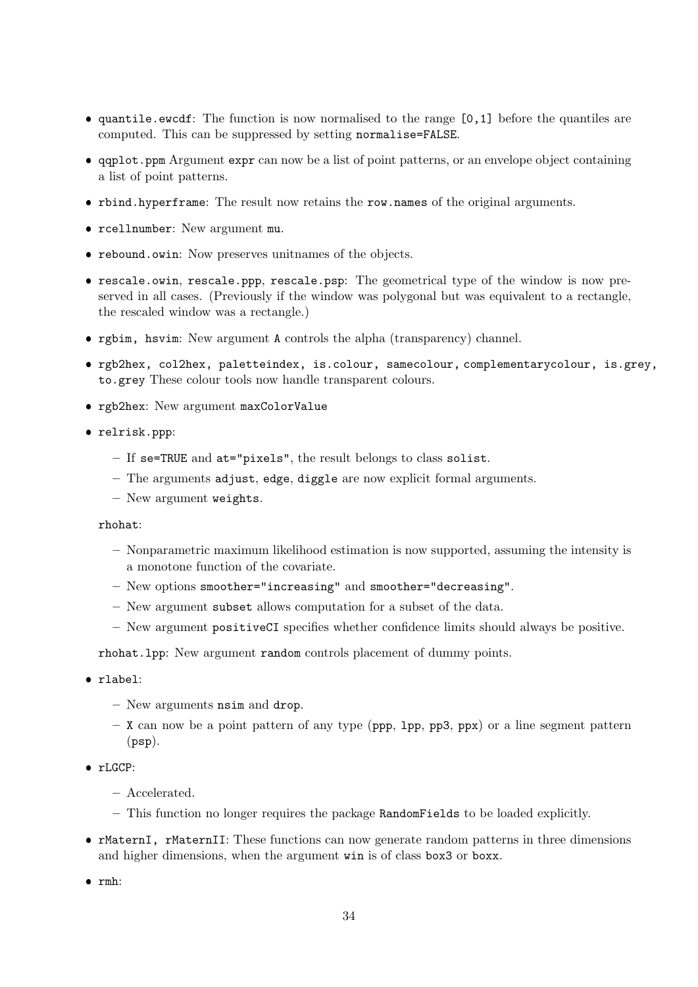- quantile.ewcdf: The function is now normalised to the range [0,1] before the quantiles are computed. This can be suppressed by setting normalise=FALSE.
- qqplot.ppm Argument expr can now be a list of point patterns, or an envelope object containing a list of point patterns.
- rbind.hyperframe: The result now retains the row.names of the original arguments.
- rcellnumber: New argument mu.
- rebound.owin: Now preserves unitnames of the objects.
- rescale.owin, rescale.ppp, rescale.psp: The geometrical type of the window is now preserved in all cases. (Previously if the window was polygonal but was equivalent to a rectangle, the rescaled window was a rectangle.)
- rgbim, hsvim: New argument A controls the alpha (transparency) channel.
- rgb2hex, col2hex, paletteindex, is.colour, samecolour, complementarycolour, is.grey, to.grey These colour tools now handle transparent colours.
- rgb2hex: New argument maxColorValue
- relrisk.ppp:
	- If se=TRUE and at="pixels", the result belongs to class solist.
	- The arguments adjust, edge, diggle are now explicit formal arguments.
	- New argument weights.

rhohat:

- Nonparametric maximum likelihood estimation is now supported, assuming the intensity is a monotone function of the covariate.
- New options smoother="increasing" and smoother="decreasing".
- New argument subset allows computation for a subset of the data.
- New argument positiveCI specifies whether confidence limits should always be positive.

rhohat.lpp: New argument random controls placement of dummy points.

- rlabel:
	- New arguments nsim and drop.
	- $X$  can now be a point pattern of any type (ppp, 1pp, pp3, ppx) or a line segment pattern (psp).
- rLGCP:
	- Accelerated.
	- This function no longer requires the package RandomFields to be loaded explicitly.
- rMaternI, rMaternII: These functions can now generate random patterns in three dimensions and higher dimensions, when the argument win is of class box3 or boxx.
- $\bullet$  rmh: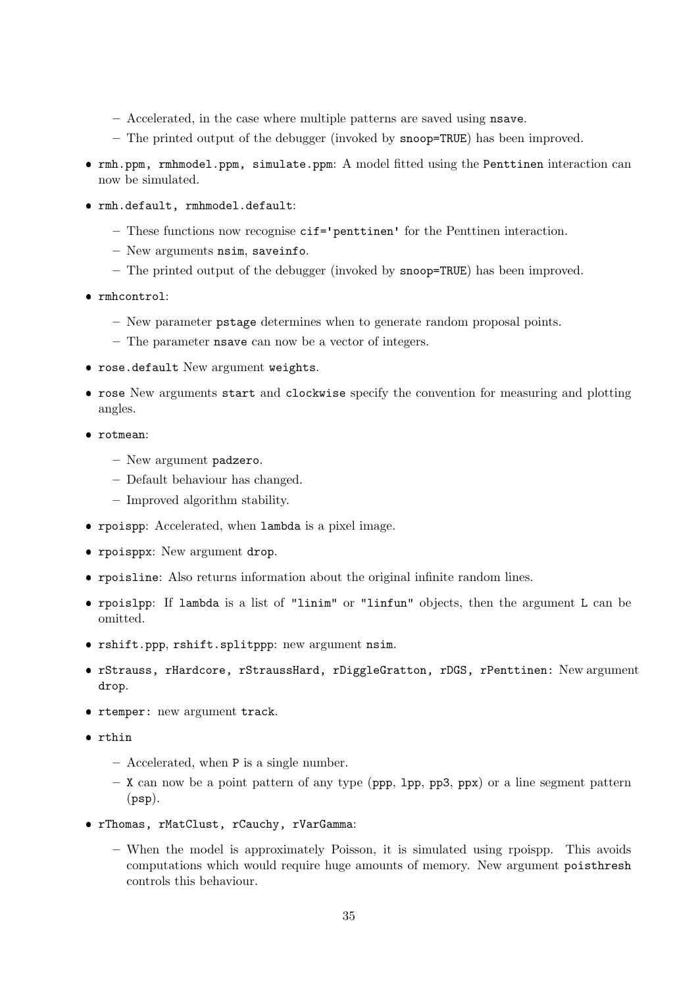- Accelerated, in the case where multiple patterns are saved using nsave.
- The printed output of the debugger (invoked by snoop=TRUE) has been improved.
- rmh.ppm, rmhmodel.ppm, simulate.ppm: A model fitted using the Penttinen interaction can now be simulated.
- rmh.default, rmhmodel.default:
	- These functions now recognise cif='penttinen' for the Penttinen interaction.
	- New arguments nsim, saveinfo.
	- The printed output of the debugger (invoked by snoop=TRUE) has been improved.
- rmhcontrol:
	- New parameter pstage determines when to generate random proposal points.
	- The parameter nsave can now be a vector of integers.
- rose.default New argument weights.
- rose New arguments start and clockwise specify the convention for measuring and plotting angles.
- rotmean:
	- New argument padzero.
	- Default behaviour has changed.
	- Improved algorithm stability.
- rpoispp: Accelerated, when lambda is a pixel image.
- rpoisppx: New argument drop.
- rpoisline: Also returns information about the original infinite random lines.
- rpoislpp: If lambda is a list of "linim" or "linfun" objects, then the argument L can be omitted.
- rshift.ppp, rshift.splitppp: new argument nsim.
- rStrauss, rHardcore, rStraussHard, rDiggleGratton, rDGS, rPenttinen: New argument drop.
- rtemper: new argument track.
- rthin
	- Accelerated, when P is a single number.
	- $-$  X can now be a point pattern of any type (ppp, 1pp, pp3, ppx) or a line segment pattern (psp).
- rThomas, rMatClust, rCauchy, rVarGamma:
	- When the model is approximately Poisson, it is simulated using rpoispp. This avoids computations which would require huge amounts of memory. New argument poisthresh controls this behaviour.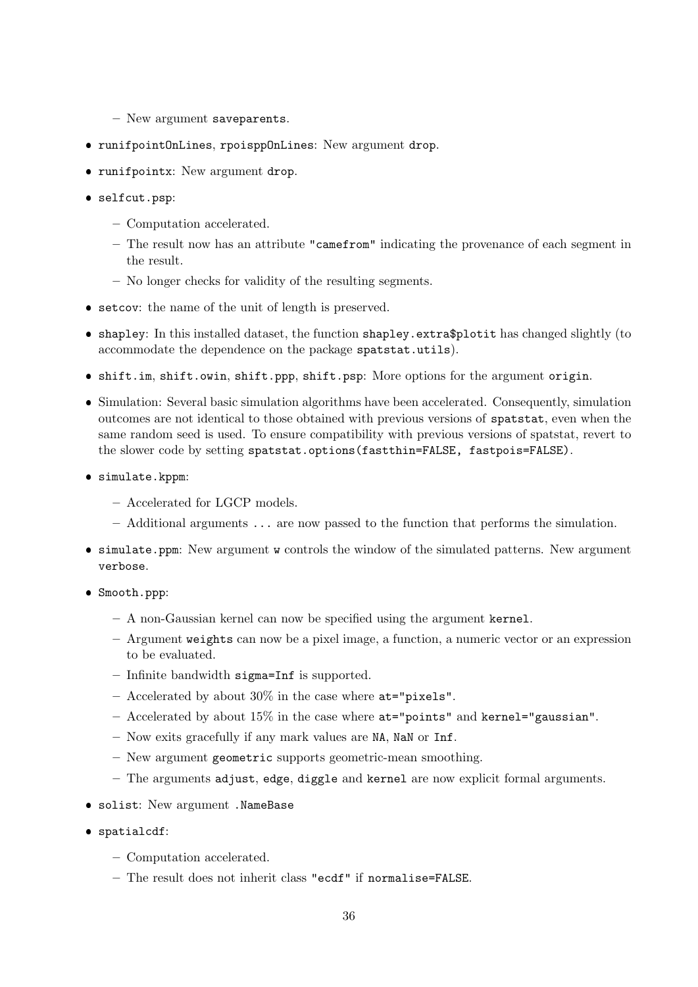- New argument saveparents.
- runifpointOnLines, rpoisppOnLines: New argument drop.
- runifpointx: New argument drop.
- selfcut.psp:
	- Computation accelerated.
	- The result now has an attribute "camefrom" indicating the provenance of each segment in the result.
	- No longer checks for validity of the resulting segments.
- setcov: the name of the unit of length is preserved.
- shapley: In this installed dataset, the function shapley.extra\$plotit has changed slightly (to accommodate the dependence on the package spatstat.utils).
- shift.im, shift.owin, shift.ppp, shift.psp: More options for the argument origin.
- Simulation: Several basic simulation algorithms have been accelerated. Consequently, simulation outcomes are not identical to those obtained with previous versions of spatstat, even when the same random seed is used. To ensure compatibility with previous versions of spatstat, revert to the slower code by setting spatstat.options(fastthin=FALSE, fastpois=FALSE).
- simulate.kppm:
	- Accelerated for LGCP models.
	- Additional arguments ... are now passed to the function that performs the simulation.
- simulate.ppm: New argument w controls the window of the simulated patterns. New argument verbose.
- Smooth.ppp:
	- A non-Gaussian kernel can now be specified using the argument kernel.
	- Argument weights can now be a pixel image, a function, a numeric vector or an expression to be evaluated.
	- Infinite bandwidth sigma=Inf is supported.
	- Accelerated by about 30% in the case where at="pixels".
	- $-$  Accelerated by about 15% in the case where  $at="points"$  and kernel="gaussian".
	- Now exits gracefully if any mark values are NA, NaN or Inf.
	- New argument geometric supports geometric-mean smoothing.
	- The arguments adjust, edge, diggle and kernel are now explicit formal arguments.
- solist: New argument .NameBase
- spatialcdf:
	- Computation accelerated.
	- The result does not inherit class "ecdf" if normalise=FALSE.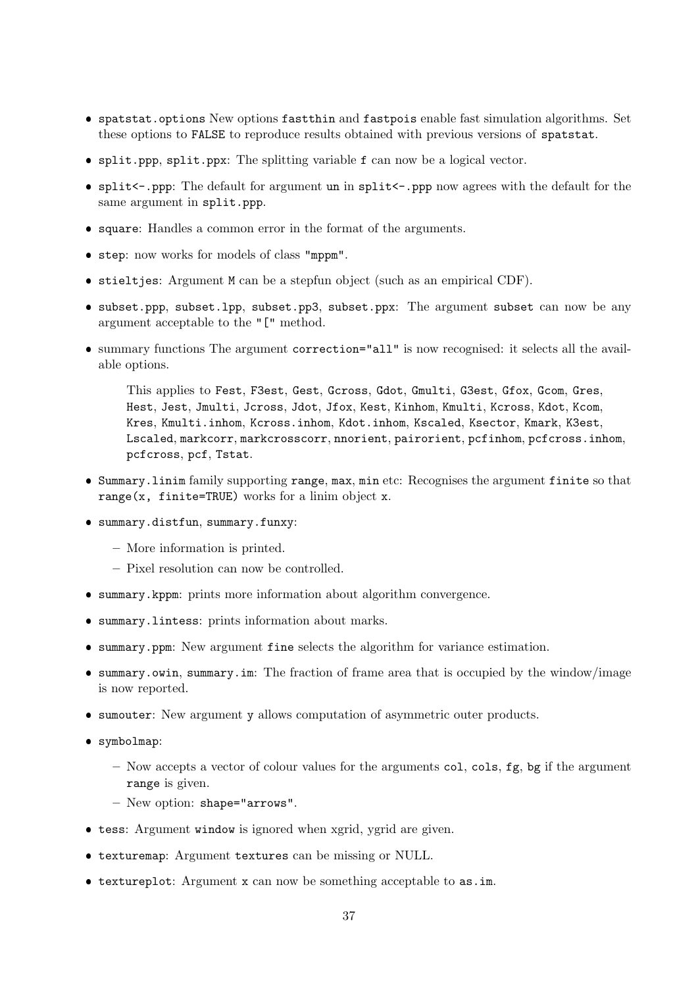- spatstat.options New options fastthin and fastpois enable fast simulation algorithms. Set these options to FALSE to reproduce results obtained with previous versions of spatstat.
- split.ppp, split.ppx: The splitting variable f can now be a logical vector.
- split<-.ppp: The default for argument un in split<-.ppp now agrees with the default for the same argument in split.ppp.
- square: Handles a common error in the format of the arguments.
- step: now works for models of class "mppm".
- stieltjes: Argument M can be a stepfun object (such as an empirical CDF).
- subset.ppp, subset.lpp, subset.pp3, subset.ppx: The argument subset can now be any argument acceptable to the "[" method.
- summary functions The argument correction="all" is now recognised: it selects all the available options.

This applies to Fest, F3est, Gest, Gcross, Gdot, Gmulti, G3est, Gfox, Gcom, Gres, Hest, Jest, Jmulti, Jcross, Jdot, Jfox, Kest, Kinhom, Kmulti, Kcross, Kdot, Kcom, Kres, Kmulti.inhom, Kcross.inhom, Kdot.inhom, Kscaled, Ksector, Kmark, K3est, Lscaled, markcorr, markcrosscorr, nnorient, pairorient, pcfinhom, pcfcross.inhom, pcfcross, pcf, Tstat.

- Summary.linim family supporting range, max, min etc: Recognises the argument finite so that range( $x$ , finite=TRUE) works for a linim object  $x$ .
- summary.distfun, summary.funxy:
	- More information is printed.
	- Pixel resolution can now be controlled.
- summary.kppm: prints more information about algorithm convergence.
- summary.lintess: prints information about marks.
- summary.ppm: New argument fine selects the algorithm for variance estimation.
- summary.owin, summary.im: The fraction of frame area that is occupied by the window/image is now reported.
- sumouter: New argument y allows computation of asymmetric outer products.
- symbolmap:
	- Now accepts a vector of colour values for the arguments col, cols, fg, bg if the argument range is given.
	- New option: shape="arrows".
- tess: Argument window is ignored when xgrid, ygrid are given.
- texturemap: Argument textures can be missing or NULL.
- textureplot: Argument x can now be something acceptable to as.im.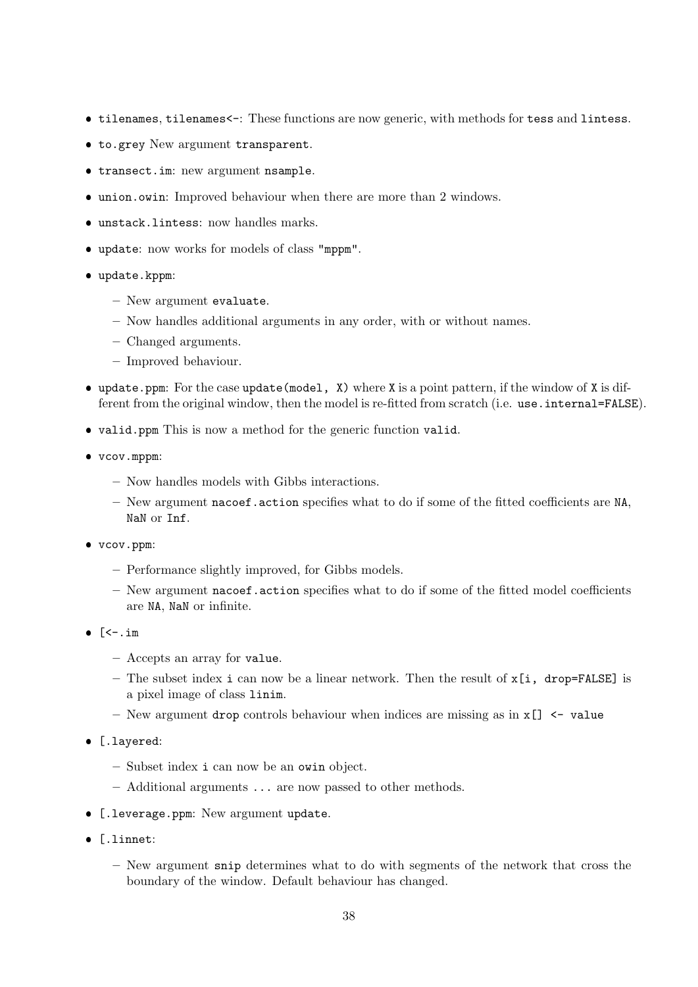- tilenames, tilenames<-: These functions are now generic, with methods for tess and lintess.
- to.grey New argument transparent.
- transect.im: new argument nsample.
- union.owin: Improved behaviour when there are more than 2 windows.
- unstack.lintess: now handles marks.
- update: now works for models of class "mppm".
- update.kppm:
	- New argument evaluate.
	- Now handles additional arguments in any order, with or without names.
	- Changed arguments.
	- Improved behaviour.
- update.ppm: For the case update(model, X) where X is a point pattern, if the window of X is different from the original window, then the model is re-fitted from scratch (i.e. use.internal=FALSE).
- valid.ppm This is now a method for the generic function valid.
- vcov.mppm:
	- Now handles models with Gibbs interactions.
	- New argument nacoef.action specifies what to do if some of the fitted coefficients are NA, NaN or Inf.
- vcov.ppm:
	- Performance slightly improved, for Gibbs models.
	- New argument nacoef.action specifies what to do if some of the fitted model coefficients are NA, NaN or infinite.
- $\bullet$  [<-.im
	- Accepts an array for value.
	- The subset index i can now be a linear network. Then the result of  $x[i, drop=FALEE]$  is a pixel image of class linim.
	- New argument drop controls behaviour when indices are missing as in x[] <- value
- [.layered:
	- Subset index i can now be an owin object.
	- Additional arguments ... are now passed to other methods.
- **•** [.leverage.ppm: New argument update.
- [.linnet:
	- New argument snip determines what to do with segments of the network that cross the boundary of the window. Default behaviour has changed.